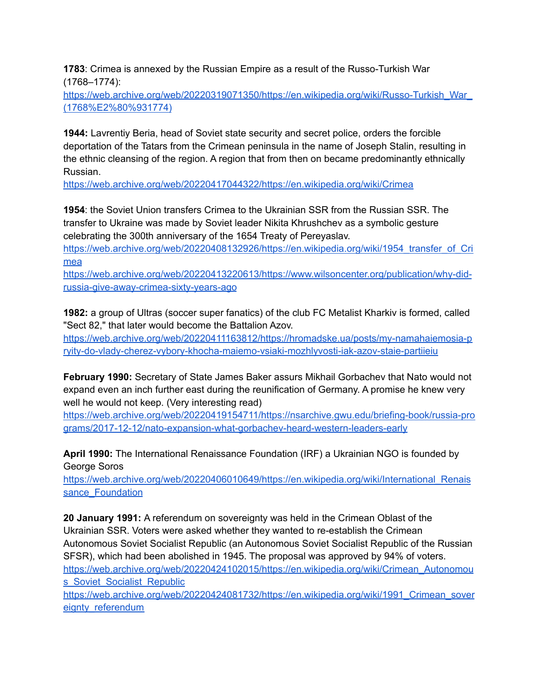**1783**: Crimea is annexed by the Russian Empire as a result of the Russo-Turkish War (1768–1774):

[https://web.archive.org/web/20220319071350/https://en.wikipedia.org/wiki/Russo-Turkish\\_War\\_](https://web.archive.org/web/20220319071350/https://en.wikipedia.org/wiki/Russo-Turkish_War_(1768%E2%80%931774)) [\(1768%E2%80%931774\)](https://web.archive.org/web/20220319071350/https://en.wikipedia.org/wiki/Russo-Turkish_War_(1768%E2%80%931774))

**1944:** Lavrentiy Beria, head of Soviet state security and secret police, orders the forcible deportation of the Tatars from the Crimean peninsula in the name of Joseph Stalin, resulting in the ethnic cleansing of the region. A region that from then on became predominantly ethnically Russian.

<https://web.archive.org/web/20220417044322/https://en.wikipedia.org/wiki/Crimea>

**1954**: the Soviet Union transfers Crimea to the Ukrainian SSR from the Russian SSR. The transfer to Ukraine was made by Soviet leader Nikita Khrushchev as a symbolic gesture celebrating the 300th anniversary of the 1654 Treaty of Pereyaslav.

[https://web.archive.org/web/20220408132926/https://en.wikipedia.org/wiki/1954\\_transfer\\_of\\_Cri](https://web.archive.org/web/20220408132926/https://en.wikipedia.org/wiki/1954_transfer_of_Crimea) [mea](https://web.archive.org/web/20220408132926/https://en.wikipedia.org/wiki/1954_transfer_of_Crimea)

[https://web.archive.org/web/20220413220613/https://www.wilsoncenter.org/publication/why-did](https://web.archive.org/web/20220413220613/https://www.wilsoncenter.org/publication/why-did-russia-give-away-crimea-sixty-years-ago)[russia-give-away-crimea-sixty-years-ago](https://web.archive.org/web/20220413220613/https://www.wilsoncenter.org/publication/why-did-russia-give-away-crimea-sixty-years-ago)

**1982:** a group of Ultras (soccer super fanatics) of the club FC Metalist Kharkiv is formed, called "Sect 82," that later would become the Battalion Azov.

[https://web.archive.org/web/20220411163812/https://hromadske.ua/posts/my-namahaiemosia-p](https://web.archive.org/web/20220411163812/https://hromadske.ua/posts/my-namahaiemosia-pryity-do-vlady-cherez-vybory-khocha-maiemo-vsiaki-mozhlyvosti-iak-azov-staie-partiieiu) [ryity-do-vlady-cherez-vybory-khocha-maiemo-vsiaki-mozhlyvosti-iak-azov-staie-partiieiu](https://web.archive.org/web/20220411163812/https://hromadske.ua/posts/my-namahaiemosia-pryity-do-vlady-cherez-vybory-khocha-maiemo-vsiaki-mozhlyvosti-iak-azov-staie-partiieiu)

**February 1990:** Secretary of State James Baker assurs Mikhail Gorbachev that Nato would not expand even an inch further east during the reunification of Germany. A promise he knew very well he would not keep. (Very interesting read)

[https://web.archive.org/web/20220419154711/https://nsarchive.gwu.edu/briefing-book/russia-pro](https://web.archive.org/web/20220419154711/https://nsarchive.gwu.edu/briefing-book/russia-programs/2017-12-12/nato-expansion-what-gorbachev-heard-western-leaders-early) [grams/2017-12-12/nato-expansion-what-gorbachev-heard-western-leaders-early](https://web.archive.org/web/20220419154711/https://nsarchive.gwu.edu/briefing-book/russia-programs/2017-12-12/nato-expansion-what-gorbachev-heard-western-leaders-early)

**April 1990:** The International Renaissance Foundation (IRF) a Ukrainian NGO is founded by George Soros

https://web.archive.org/web/20220406010649/https://en.wikipedia.org/wiki/International Renais sance Foundation

**20 January 1991:** A referendum on sovereignty was held in the Crimean Oblast of the Ukrainian SSR. Voters were asked whether they wanted to re-establish the Crimean Autonomous Soviet Socialist Republic (an Autonomous Soviet Socialist Republic of the Russian SFSR), which had been abolished in 1945. The proposal was approved by 94% of voters. [https://web.archive.org/web/20220424102015/https://en.wikipedia.org/wiki/Crimean\\_Autonomou](https://web.archive.org/web/20220424102015/https://en.wikipedia.org/wiki/Crimean_Autonomous_Soviet_Socialist_Republic) [s\\_Soviet\\_Socialist\\_Republic](https://web.archive.org/web/20220424102015/https://en.wikipedia.org/wiki/Crimean_Autonomous_Soviet_Socialist_Republic)

[https://web.archive.org/web/20220424081732/https://en.wikipedia.org/wiki/1991\\_Crimean\\_sover](https://web.archive.org/web/20220424081732/https://en.wikipedia.org/wiki/1991_Crimean_sovereignty_referendum) eignty referendum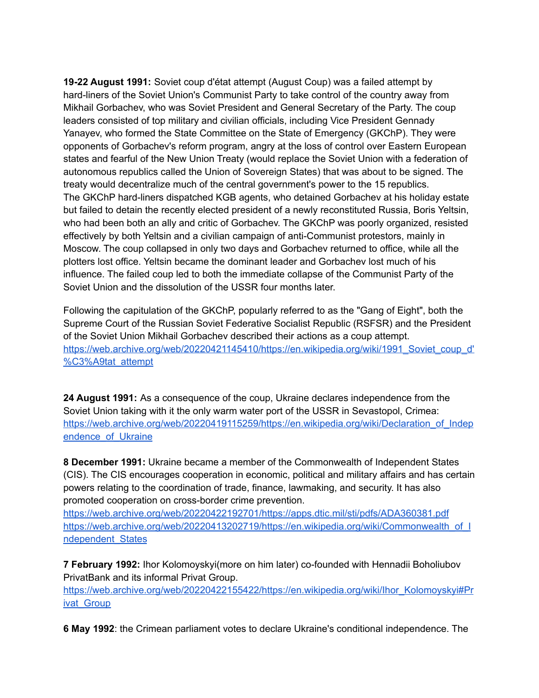**19-22 August 1991:** Soviet coup d'état attempt (August Coup) was a failed attempt by hard-liners of the Soviet Union's Communist Party to take control of the country away from Mikhail Gorbachev, who was Soviet President and General Secretary of the Party. The coup leaders consisted of top military and civilian officials, including Vice President Gennady Yanayev, who formed the State Committee on the State of Emergency (GKChP). They were opponents of Gorbachev's reform program, angry at the loss of control over Eastern European states and fearful of the New Union Treaty (would replace the Soviet Union with a federation of autonomous republics called the Union of Sovereign States) that was about to be signed. The treaty would decentralize much of the central government's power to the 15 republics. The GKChP hard-liners dispatched KGB agents, who detained Gorbachev at his holiday estate but failed to detain the recently elected president of a newly reconstituted Russia, Boris Yeltsin, who had been both an ally and critic of Gorbachev. The GKChP was poorly organized, resisted effectively by both Yeltsin and a civilian campaign of anti-Communist protestors, mainly in Moscow. The coup collapsed in only two days and Gorbachev returned to office, while all the plotters lost office. Yeltsin became the dominant leader and Gorbachev lost much of his influence. The failed coup led to both the immediate collapse of the Communist Party of the Soviet Union and the dissolution of the USSR four months later.

Following the capitulation of the GKChP, popularly referred to as the "Gang of Eight", both the Supreme Court of the Russian Soviet Federative Socialist Republic (RSFSR) and the President of the Soviet Union Mikhail Gorbachev described their actions as a coup attempt. [https://web.archive.org/web/20220421145410/https://en.wikipedia.org/wiki/1991\\_Soviet\\_coup\\_d'](https://web.archive.org/web/20220421145410/https://en.wikipedia.org/wiki/1991_Soviet_coup_d) [%C3%A9tat\\_attempt](https://web.archive.org/web/20220421145410/https://en.wikipedia.org/wiki/1991_Soviet_coup_d)

**24 August 1991:** As a consequence of the coup, Ukraine declares independence from the Soviet Union taking with it the only warm water port of the USSR in Sevastopol, Crimea: [https://web.archive.org/web/20220419115259/https://en.wikipedia.org/wiki/Declaration\\_of\\_Indep](https://web.archive.org/web/20220419115259/https://en.wikipedia.org/wiki/Declaration_of_Independence_of_Ukraine) endence of Ukraine

**8 December 1991:** Ukraine became a member of the Commonwealth of Independent States (CIS). The CIS encourages cooperation in economic, political and military affairs and has certain powers relating to the coordination of trade, finance, lawmaking, and security. It has also promoted cooperation on cross-border crime prevention.

<https://web.archive.org/web/20220422192701/https://apps.dtic.mil/sti/pdfs/ADA360381.pdf> [https://web.archive.org/web/20220413202719/https://en.wikipedia.org/wiki/Commonwealth\\_of\\_I](https://web.archive.org/web/20220413202719/https://en.wikipedia.org/wiki/Commonwealth_of_Independent_States) [ndependent\\_States](https://web.archive.org/web/20220413202719/https://en.wikipedia.org/wiki/Commonwealth_of_Independent_States)

**7 February 1992:** Ihor Kolomoyskyi(more on him later) co-founded with Hennadii Boholiubov PrivatBank and its informal Privat Group.

[https://web.archive.org/web/20220422155422/https://en.wikipedia.org/wiki/Ihor\\_Kolomoyskyi#Pr](https://web.archive.org/web/20220422155422/https://en.wikipedia.org/wiki/Ihor_Kolomoyskyi#Privat_Group) ivat Group

**6 May 1992**: the Crimean parliament votes to declare Ukraine's conditional independence. The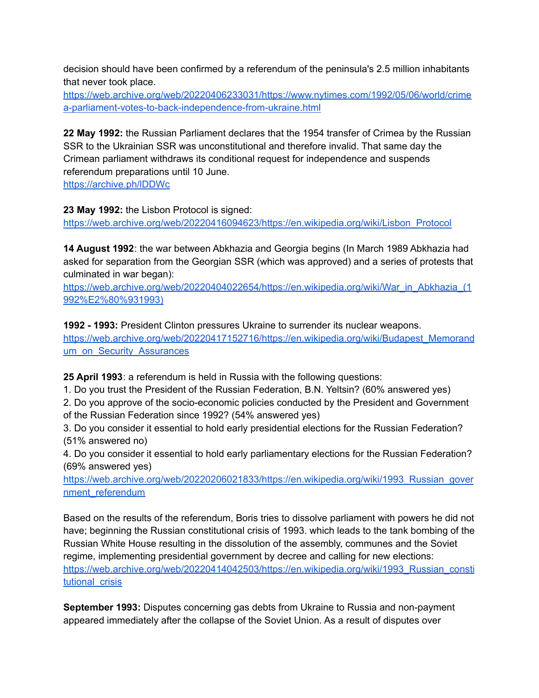decision should have been confirmed by a referendum of the peninsula's 2.5 million inhabitants that never took place.

[https://web.archive.org/web/20220406233031/https://www.nytimes.com/1992/05/06/world/crime](https://web.archive.org/web/20220406233031/https://www.nytimes.com/1992/05/06/world/crimea-parliament-votes-to-back-independence-from-ukraine.html) [a-parliament-votes-to-back-independence-from-ukraine.html](https://web.archive.org/web/20220406233031/https://www.nytimes.com/1992/05/06/world/crimea-parliament-votes-to-back-independence-from-ukraine.html)

**22 May 1992:** the Russian Parliament declares that the 1954 transfer of Crimea by the Russian SSR to the Ukrainian SSR was unconstitutional and therefore invalid. That same day the Crimean parliament withdraws its conditional request for independence and suspends referendum preparations until 10 June.

<https://archive.ph/lDDWc>

**23 May 1992:** the Lisbon Protocol is signed:

[https://web.archive.org/web/20220416094623/https://en.wikipedia.org/wiki/Lisbon\\_Protocol](https://web.archive.org/web/20220416094623/https://en.wikipedia.org/wiki/Lisbon_Protocol)

**14 August 1992**: the war between Abkhazia and Georgia begins (In March 1989 Abkhazia had asked for separation from the Georgian SSR (which was approved) and a series of protests that culminated in war began):

[https://web.archive.org/web/20220404022654/https://en.wikipedia.org/wiki/War\\_in\\_Abkhazia\\_\(1](https://web.archive.org/web/20220404022654/https://en.wikipedia.org/wiki/War_in_Abkhazia_(1992%E2%80%931993)) [992%E2%80%931993\)](https://web.archive.org/web/20220404022654/https://en.wikipedia.org/wiki/War_in_Abkhazia_(1992%E2%80%931993))

**1992 - 1993:** President Clinton pressures Ukraine to surrender its nuclear weapons. [https://web.archive.org/web/20220417152716/https://en.wikipedia.org/wiki/Budapest\\_Memorand](https://web.archive.org/web/20220417152716/https://en.wikipedia.org/wiki/Budapest_Memorandum_on_Security_Assurances) [um\\_on\\_Security\\_Assurances](https://web.archive.org/web/20220417152716/https://en.wikipedia.org/wiki/Budapest_Memorandum_on_Security_Assurances)

**25 April 1993**: a referendum is held in Russia with the following questions:

1. Do you trust the President of the Russian Federation, B.N. Yeltsin? (60% answered yes)

2. Do you approve of the socio-economic policies conducted by the President and Government of the Russian Federation since 1992? (54% answered yes)

3. Do you consider it essential to hold early presidential elections for the Russian Federation? (51% answered no)

4. Do you consider it essential to hold early parliamentary elections for the Russian Federation? (69% answered yes)

[https://web.archive.org/web/20220206021833/https://en.wikipedia.org/wiki/1993\\_Russian\\_gover](https://web.archive.org/web/20220206021833/https://en.wikipedia.org/wiki/1993_Russian_government_referendum) [nment\\_referendum](https://web.archive.org/web/20220206021833/https://en.wikipedia.org/wiki/1993_Russian_government_referendum)

Based on the results of the referendum, Boris tries to dissolve parliament with powers he did not have; beginning the Russian constitutional crisis of 1993. which leads to the tank bombing of the Russian White House resulting in the dissolution of the assembly, communes and the Soviet regime, implementing presidential government by decree and calling for new elections: [https://web.archive.org/web/20220414042503/https://en.wikipedia.org/wiki/1993\\_Russian\\_consti](https://web.archive.org/web/20220414042503/https://en.wikipedia.org/wiki/1993_Russian_constitutional_crisis) tutional crisis

**September 1993:** Disputes concerning gas debts from Ukraine to Russia and non-payment appeared immediately after the collapse of the Soviet Union. As a result of disputes over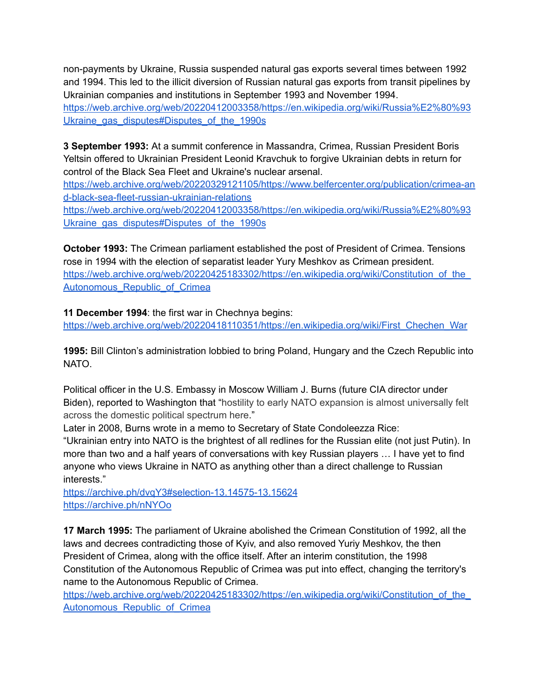non-payments by Ukraine, Russia suspended natural gas exports several times between 1992 and 1994. This led to the illicit diversion of Russian natural gas exports from transit pipelines by Ukrainian companies and institutions in September 1993 and November 1994. [https://web.archive.org/web/20220412003358/https://en.wikipedia.org/wiki/Russia%E2%80%93](https://web.archive.org/web/20220412003358/https://en.wikipedia.org/wiki/Russia%E2%80%93Ukraine_gas_disputes#Disputes_of_the_1990s) Ukraine gas disputes#Disputes of the 1990s

**3 September 1993:** At a summit conference in Massandra, Crimea, Russian President Boris Yeltsin offered to Ukrainian President Leonid Kravchuk to forgive Ukrainian debts in return for control of the Black Sea Fleet and Ukraine's nuclear arsenal.

[https://web.archive.org/web/20220329121105/https://www.belfercenter.org/publication/crimea-an](https://web.archive.org/web/20220329121105/https://www.belfercenter.org/publication/crimea-and-black-sea-fleet-russian-ukrainian-relations) [d-black-sea-fleet-russian-ukrainian-relations](https://web.archive.org/web/20220329121105/https://www.belfercenter.org/publication/crimea-and-black-sea-fleet-russian-ukrainian-relations)

[https://web.archive.org/web/20220412003358/https://en.wikipedia.org/wiki/Russia%E2%80%93](https://web.archive.org/web/20220412003358/https://en.wikipedia.org/wiki/Russia%E2%80%93Ukraine_gas_disputes#Disputes_of_the_1990s) Ukraine gas disputes#Disputes of the 1990s

**October 1993:** The Crimean parliament established the post of President of Crimea. Tensions rose in 1994 with the election of separatist leader Yury Meshkov as Crimean president. https://web.archive.org/web/20220425183302/https://en.wikipedia.org/wiki/Constitution\_of\_the Autonomous Republic of Crimea

**11 December 1994**: the first war in Chechnya begins: [https://web.archive.org/web/20220418110351/https://en.wikipedia.org/wiki/First\\_Chechen\\_War](https://web.archive.org/web/20220418110351/https://en.wikipedia.org/wiki/First_Chechen_War)

**1995:** Bill Clinton's administration lobbied to bring Poland, Hungary and the Czech Republic into NATO.

Political officer in the U.S. Embassy in Moscow William J. Burns (future CIA director under Biden), reported to Washington that "hostility to early NATO expansion is almost [universally](https://archive.ph/o/nNYOo/https://www.govinfo.gov/content/pkg/CREC-2022-02-10/html/CREC-2022-02-10-pt1-PgS632-2.htm) felt across the domestic political [spectrum](https://archive.ph/o/nNYOo/https://www.govinfo.gov/content/pkg/CREC-2022-02-10/html/CREC-2022-02-10-pt1-PgS632-2.htm) here."

Later in 2008, Burns wrote in a memo to Secretary of State Condoleezza Rice:

"Ukrainian entry into NATO is the brightest of all redlines for the Russian elite (not just Putin). In more than two and a half years of conversations with key Russian players … I have yet to find anyone who views Ukraine in NATO as anything other than a direct challenge to Russian interests."

<https://archive.ph/dvqY3#selection-13.14575-13.15624> <https://archive.ph/nNYOo>

**17 March 1995:** The parliament of Ukraine abolished the Crimean Constitution of 1992, all the laws and decrees contradicting those of Kyiv, and also removed Yuriy Meshkov, the then President of Crimea, along with the office itself. After an interim constitution, the 1998 Constitution of the Autonomous Republic of Crimea was put into effect, changing the territory's name to the Autonomous Republic of Crimea.

[https://web.archive.org/web/20220425183302/https://en.wikipedia.org/wiki/Constitution\\_of\\_the\\_](https://web.archive.org/web/20220425183302/https://en.wikipedia.org/wiki/Constitution_of_the_Autonomous_Republic_of_Crimea) Autonomous Republic of Crimea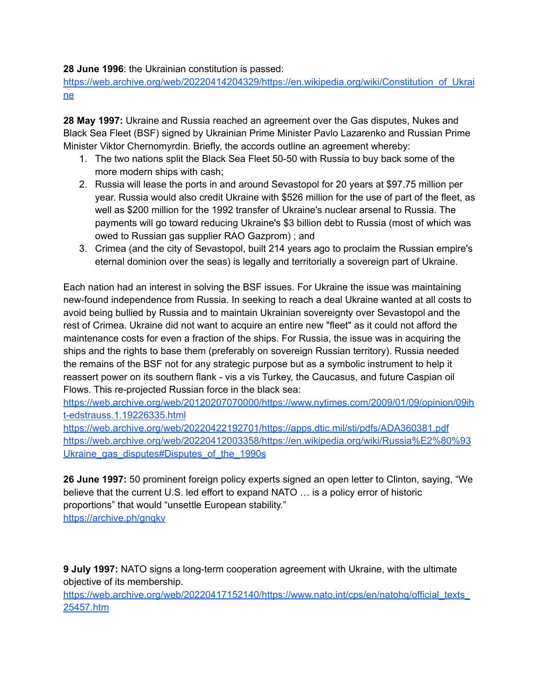**28 June 1996**: the Ukrainian constitution is passed:

[https://web.archive.org/web/20220414204329/https://en.wikipedia.org/wiki/Constitution\\_of\\_Ukrai](https://web.archive.org/web/20220414204329/https://en.wikipedia.org/wiki/Constitution_of_Ukraine) [ne](https://web.archive.org/web/20220414204329/https://en.wikipedia.org/wiki/Constitution_of_Ukraine)

**28 May 1997:** Ukraine and Russia reached an agreement over the Gas disputes, Nukes and Black Sea Fleet (BSF) signed by Ukrainian Prime Minister Pavlo Lazarenko and Russian Prime Minister Viktor Chernomyrdin. Briefly, the accords outline an agreement whereby:

- 1. The two nations split the Black Sea Fleet 50-50 with Russia to buy back some of the more modern ships with cash;
- 2. Russia will lease the ports in and around Sevastopol for 20 years at \$97.75 million per year. Russia would also credit Ukraine with \$526 million for the use of part of the fleet, as well as \$200 million for the 1992 transfer of Ukraine's nuclear arsenal to Russia. The payments will go toward reducing Ukraine's \$3 billion debt to Russia (most of which was owed to Russian gas supplier RAO Gazprom) ; and
- 3. Crimea (and the city of Sevastopol, built 214 years ago to proclaim the Russian empire's eternal dominion over the seas) is legally and territorially a sovereign part of Ukraine.

Each nation had an interest in solving the BSF issues. For Ukraine the issue was maintaining new-found independence from Russia. In seeking to reach a deal Ukraine wanted at all costs to avoid being bullied by Russia and to maintain Ukrainian sovereignty over Sevastopol and the rest of Crimea. Ukraine did not want to acquire an entire new "fleet" as it could not afford the maintenance costs for even a fraction of the ships. For Russia, the issue was in acquiring the ships and the rights to base them (preferably on sovereign Russian territory). Russia needed the remains of the BSF not for any strategic purpose but as a symbolic instrument to help it reassert power on its southern flank - vis a vis Turkey, the Caucasus, and future Caspian oil Flows. This re-projected Russian force in the black sea:

[https://web.archive.org/web/20120207070000/https://www.nytimes.com/2009/01/09/opinion/09ih](https://web.archive.org/web/20120207070000/https://www.nytimes.com/2009/01/09/opinion/09iht-edstrauss.1.19226335.html) [t-edstrauss.1.19226335.html](https://web.archive.org/web/20120207070000/https://www.nytimes.com/2009/01/09/opinion/09iht-edstrauss.1.19226335.html)

<https://web.archive.org/web/20220422192701/https://apps.dtic.mil/sti/pdfs/ADA360381.pdf> [https://web.archive.org/web/20220412003358/https://en.wikipedia.org/wiki/Russia%E2%80%93](https://web.archive.org/web/20220412003358/https://en.wikipedia.org/wiki/Russia%E2%80%93Ukraine_gas_disputes#Disputes_of_the_1990s) Ukraine gas disputes#Disputes of the 1990s

**26 June 1997:** 50 prominent foreign policy experts signed an open letter to Clinton, saying, "We believe that the current U.S. led effort to expand NATO … is a policy error of historic proportions" that would "unsettle European stability." <https://archive.ph/gnqkv>

**9 July 1997:** NATO signs a long-term cooperation agreement with Ukraine, with the ultimate objective of its membership.

https://web.archive.org/web/20220417152140/https://www.nato.int/cps/en/natohg/official\_texts\_ [25457.htm](https://web.archive.org/web/20220417152140/https://www.nato.int/cps/en/natohq/official_texts_25457.htm)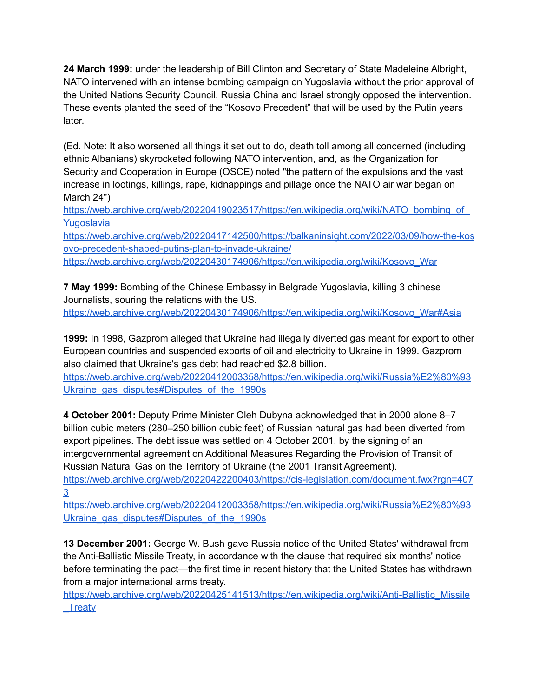**24 March 1999:** under the leadership of Bill Clinton and Secretary of State Madeleine Albright, NATO intervened with an intense bombing campaign on Yugoslavia without the prior approval of the United Nations Security Council. Russia China and Israel strongly opposed the intervention. These events planted the seed of the "Kosovo Precedent" that will be used by the Putin years later.

(Ed. Note: It also worsened all things it set out to do, death toll among all concerned (including ethnic Albanians) skyrocketed following NATO intervention, and, as the Organization for Security and Cooperation in Europe (OSCE) noted "the pattern of the expulsions and the vast increase in lootings, killings, rape, kidnappings and pillage once the NATO air war began on March 24")

https://web.archive.org/web/20220419023517/https://en.wikipedia.org/wiki/NATO\_bombing\_of [Yugoslavia](https://web.archive.org/web/20220419023517/https://en.wikipedia.org/wiki/NATO_bombing_of_Yugoslavia)

[https://web.archive.org/web/20220417142500/https://balkaninsight.com/2022/03/09/how-the-kos](https://web.archive.org/web/20220417142500/https://balkaninsight.com/2022/03/09/how-the-kosovo-precedent-shaped-putins-plan-to-invade-ukraine/) [ovo-precedent-shaped-putins-plan-to-invade-ukraine/](https://web.archive.org/web/20220417142500/https://balkaninsight.com/2022/03/09/how-the-kosovo-precedent-shaped-putins-plan-to-invade-ukraine/) [https://web.archive.org/web/20220430174906/https://en.wikipedia.org/wiki/Kosovo\\_War](https://web.archive.org/web/20220430174906/https://en.wikipedia.org/wiki/Kosovo_War)

**7 May 1999:** Bombing of the Chinese Embassy in Belgrade Yugoslavia, killing 3 chinese Journalists, souring the relations with the US. [https://web.archive.org/web/20220430174906/https://en.wikipedia.org/wiki/Kosovo\\_War#Asia](https://web.archive.org/web/20220430174906/https://en.wikipedia.org/wiki/Kosovo_War#Asia)

**1999:** In 1998, Gazprom alleged that Ukraine had illegally diverted gas meant for export to other European countries and suspended exports of oil and electricity to Ukraine in 1999. Gazprom also claimed that Ukraine's gas debt had reached \$2.8 billion.

[https://web.archive.org/web/20220412003358/https://en.wikipedia.org/wiki/Russia%E2%80%93](https://web.archive.org/web/20220412003358/https://en.wikipedia.org/wiki/Russia%E2%80%93Ukraine_gas_disputes#Disputes_of_the_1990s) Ukraine gas disputes#Disputes of the 1990s

**4 October 2001:** Deputy Prime Minister Oleh Dubyna acknowledged that in 2000 alone 8–7 billion cubic meters (280–250 billion cubic feet) of Russian natural gas had been diverted from export pipelines. The debt issue was settled on 4 October 2001, by the signing of an intergovernmental agreement on Additional Measures Regarding the Provision of Transit of Russian Natural Gas on the Territory of Ukraine (the 2001 Transit Agreement).

[https://web.archive.org/web/20220422200403/https://cis-legislation.com/document.fwx?rgn=407](https://web.archive.org/web/20220422200403/https://cis-legislation.com/document.fwx?rgn=4073) [3](https://web.archive.org/web/20220422200403/https://cis-legislation.com/document.fwx?rgn=4073)

[https://web.archive.org/web/20220412003358/https://en.wikipedia.org/wiki/Russia%E2%80%93](https://web.archive.org/web/20220412003358/https://en.wikipedia.org/wiki/Russia%E2%80%93Ukraine_gas_disputes#Disputes_of_the_1990s) Ukraine gas disputes#Disputes of the 1990s

**13 December 2001:** George W. Bush gave Russia notice of the United States' withdrawal from the Anti-Ballistic Missile Treaty, in accordance with the clause that required six months' notice before terminating the pact—the first time in recent history that the United States has withdrawn from a major international arms treaty.

[https://web.archive.org/web/20220425141513/https://en.wikipedia.org/wiki/Anti-Ballistic\\_Missile](https://web.archive.org/web/20220425141513/https://en.wikipedia.org/wiki/Anti-Ballistic_Missile_Treaty) **Treaty**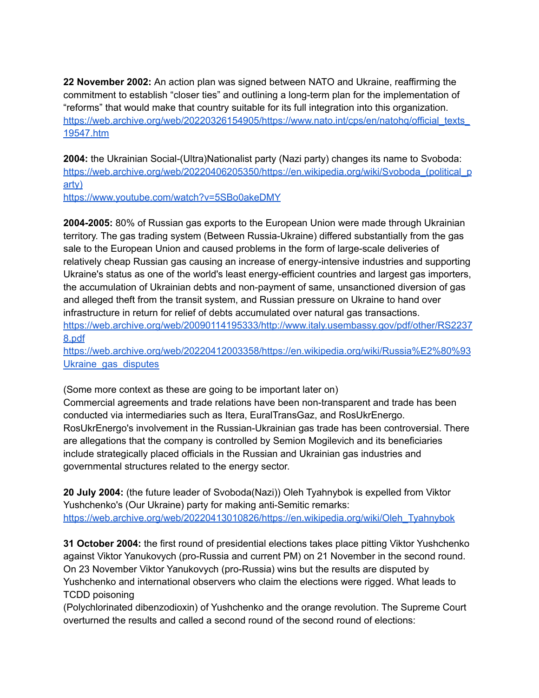**22 November 2002:** An action plan was signed between NATO and Ukraine, reaffirming the commitment to establish "closer ties" and outlining a long-term plan for the implementation of "reforms" that would make that country suitable for its full integration into this organization. https://web.archive.org/web/20220326154905/https://www.nato.int/cps/en/natohg/official\_texts\_ [19547.htm](https://web.archive.org/web/20220326154905/https://www.nato.int/cps/en/natohq/official_texts_19547.htm)

**2004:** the Ukrainian Social-(Ultra)Nationalist party (Nazi party) changes its name to Svoboda: https://web.archive.org/web/20220406205350/https://en.wikipedia.org/wiki/Svoboda (political p [arty\)](https://web.archive.org/web/20220406205350/https://en.wikipedia.org/wiki/Svoboda_(political_party))

<https://www.youtube.com/watch?v=5SBo0akeDMY>

**2004-2005:** 80% of Russian gas exports to the European Union were made through Ukrainian territory. The gas trading system (Between Russia-Ukraine) differed substantially from the gas sale to the European Union and caused problems in the form of large-scale deliveries of relatively cheap Russian gas causing an increase of energy-intensive industries and supporting Ukraine's status as one of the world's least energy-efficient countries and largest gas importers, the accumulation of Ukrainian debts and non-payment of same, unsanctioned diversion of gas and alleged theft from the transit system, and Russian pressure on Ukraine to hand over infrastructure in return for relief of debts accumulated over natural gas transactions. [https://web.archive.org/web/20090114195333/http://www.italy.usembassy.gov/pdf/other/RS2237](https://web.archive.org/web/20090114195333/http://www.italy.usembassy.gov/pdf/other/RS22378.pdf) [8.pdf](https://web.archive.org/web/20090114195333/http://www.italy.usembassy.gov/pdf/other/RS22378.pdf)

[https://web.archive.org/web/20220412003358/https://en.wikipedia.org/wiki/Russia%E2%80%93](https://web.archive.org/web/20220412003358/https://en.wikipedia.org/wiki/Russia%E2%80%93Ukraine_gas_disputes) Ukraine gas disputes

(Some more context as these are going to be important later on)

Commercial agreements and trade relations have been non-transparent and trade has been conducted via intermediaries such as Itera, EuralTransGaz, and RosUkrEnergo. RosUkrEnergo's involvement in the Russian-Ukrainian gas trade has been controversial. There are allegations that the company is controlled by Semion Mogilevich and its beneficiaries include strategically placed officials in the Russian and Ukrainian gas industries and governmental structures related to the energy sector.

**20 July 2004:** (the future leader of Svoboda(Nazi)) Oleh Tyahnybok is expelled from Viktor Yushchenko's (Our Ukraine) party for making anti-Semitic remarks: [https://web.archive.org/web/20220413010826/https://en.wikipedia.org/wiki/Oleh\\_Tyahnybok](https://web.archive.org/web/20220413010826/https://en.wikipedia.org/wiki/Oleh_Tyahnybok)

**31 October 2004:** the first round of presidential elections takes place pitting Viktor Yushchenko against Viktor Yanukovych (pro-Russia and current PM) on 21 November in the second round. On 23 November Viktor Yanukovych (pro-Russia) wins but the results are disputed by Yushchenko and international observers who claim the elections were rigged. What leads to TCDD poisoning

(Polychlorinated dibenzodioxin) of Yushchenko and the orange revolution. The Supreme Court overturned the results and called a second round of the second round of elections: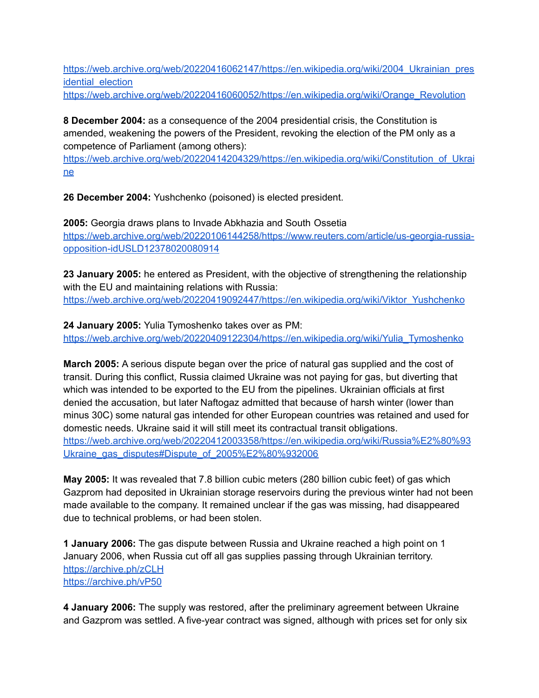[https://web.archive.org/web/20220416062147/https://en.wikipedia.org/wiki/2004\\_Ukrainian\\_pres](https://web.archive.org/web/20220416062147/https://en.wikipedia.org/wiki/2004_Ukrainian_presidential_election) idential election

[https://web.archive.org/web/20220416060052/https://en.wikipedia.org/wiki/Orange\\_Revolution](https://web.archive.org/web/20220416060052/https://en.wikipedia.org/wiki/Orange_Revolution)

**8 December 2004:** as a consequence of the 2004 presidential crisis, the Constitution is amended, weakening the powers of the President, revoking the election of the PM only as a competence of Parliament (among others):

[https://web.archive.org/web/20220414204329/https://en.wikipedia.org/wiki/Constitution\\_of\\_Ukrai](https://web.archive.org/web/20220414204329/https://en.wikipedia.org/wiki/Constitution_of_Ukraine) [ne](https://web.archive.org/web/20220414204329/https://en.wikipedia.org/wiki/Constitution_of_Ukraine)

**26 December 2004:** Yushchenko (poisoned) is elected president.

**2005:** Georgia draws plans to Invade Abkhazia and South Ossetia [https://web.archive.org/web/20220106144258/https://www.reuters.com/article/us-georgia-russia](https://web.archive.org/web/20220106144258/https://www.reuters.com/article/us-georgia-russia-opposition-idUSLD12378020080914)[opposition-idUSLD12378020080914](https://web.archive.org/web/20220106144258/https://www.reuters.com/article/us-georgia-russia-opposition-idUSLD12378020080914)

**23 January 2005:** he entered as President, with the objective of strengthening the relationship with the EU and maintaining relations with Russia: [https://web.archive.org/web/20220419092447/https://en.wikipedia.org/wiki/Viktor\\_Yushchenko](https://web.archive.org/web/20220419092447/https://en.wikipedia.org/wiki/Viktor_Yushchenko)

**24 January 2005:** Yulia Tymoshenko takes over as PM: [https://web.archive.org/web/20220409122304/https://en.wikipedia.org/wiki/Yulia\\_Tymoshenko](https://web.archive.org/web/20220409122304/https://en.wikipedia.org/wiki/Yulia_Tymoshenko)

**March 2005:** A serious dispute began over the price of natural gas supplied and the cost of transit. During this conflict, Russia claimed Ukraine was not paying for gas, but diverting that which was intended to be exported to the EU from the pipelines. Ukrainian officials at first denied the accusation, but later Naftogaz admitted that because of harsh winter (lower than minus 30C) some natural gas intended for other European countries was retained and used for domestic needs. Ukraine said it will still meet its contractual transit obligations. [https://web.archive.org/web/20220412003358/https://en.wikipedia.org/wiki/Russia%E2%80%93](https://web.archive.org/web/20220412003358/https://en.wikipedia.org/wiki/Russia%E2%80%93Ukraine_gas_disputes#Dispute_of_2005%E2%80%932006) Ukraine gas\_disputes#Dispute\_of\_2005%E2%80%932006

**May 2005:** It was revealed that 7.8 billion cubic meters (280 billion cubic feet) of gas which Gazprom had deposited in Ukrainian storage reservoirs during the previous winter had not been made available to the company. It remained unclear if the gas was missing, had disappeared due to technical problems, or had been stolen.

**1 January 2006:** The gas dispute between Russia and Ukraine reached a high point on 1 January 2006, when Russia cut off all gas supplies passing through Ukrainian territory. <https://archive.ph/zCLH> <https://archive.ph/vP50>

**4 January 2006:** The supply was restored, after the preliminary agreement between Ukraine and Gazprom was settled. A five-year contract was signed, although with prices set for only six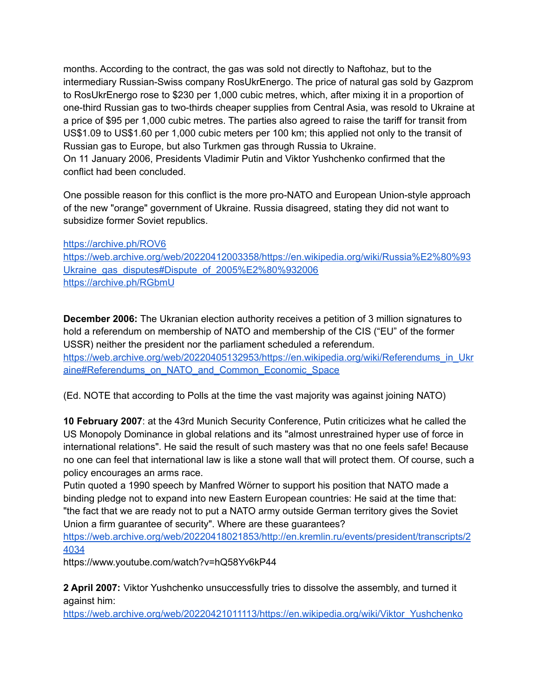months. According to the contract, the gas was sold not directly to Naftohaz, but to the intermediary Russian-Swiss company RosUkrEnergo. The price of natural gas sold by Gazprom to RosUkrEnergo rose to \$230 per 1,000 cubic metres, which, after mixing it in a proportion of one-third Russian gas to two-thirds cheaper supplies from Central Asia, was resold to Ukraine at a price of \$95 per 1,000 cubic metres. The parties also agreed to raise the tariff for transit from US\$1.09 to US\$1.60 per 1,000 cubic meters per 100 km; this applied not only to the transit of Russian gas to Europe, but also Turkmen gas through Russia to Ukraine. On 11 January 2006, Presidents Vladimir Putin and Viktor Yushchenko confirmed that the conflict had been concluded.

One possible reason for this conflict is the more pro-NATO and European Union-style approach of the new "orange" government of Ukraine. Russia disagreed, stating they did not want to subsidize former Soviet republics.

<https://archive.ph/ROV6> [https://web.archive.org/web/20220412003358/https://en.wikipedia.org/wiki/Russia%E2%80%93](https://web.archive.org/web/20220412003358/https://en.wikipedia.org/wiki/Russia%E2%80%93Ukraine_gas_disputes#Dispute_of_2005%E2%80%932006) [Ukraine\\_gas\\_disputes#Dispute\\_of\\_2005%E2%80%932006](https://web.archive.org/web/20220412003358/https://en.wikipedia.org/wiki/Russia%E2%80%93Ukraine_gas_disputes#Dispute_of_2005%E2%80%932006) <https://archive.ph/RGbmU>

**December 2006:** The Ukranian election authority receives a petition of 3 million signatures to hold a referendum on membership of NATO and membership of the CIS ("EU" of the former USSR) neither the president nor the parliament scheduled a referendum. [https://web.archive.org/web/20220405132953/https://en.wikipedia.org/wiki/Referendums\\_in\\_Ukr](https://web.archive.org/web/20220405132953/https://en.wikipedia.org/wiki/Referendums_in_Ukraine#Referendums_on_NATO_and_Common_Economic_Space) [aine#Referendums\\_on\\_NATO\\_and\\_Common\\_Economic\\_Space](https://web.archive.org/web/20220405132953/https://en.wikipedia.org/wiki/Referendums_in_Ukraine#Referendums_on_NATO_and_Common_Economic_Space)

(Ed. NOTE that according to Polls at the time the vast majority was against joining NATO)

**10 February 2007**: at the 43rd Munich Security Conference, Putin criticizes what he called the US Monopoly Dominance in global relations and its "almost unrestrained hyper use of force in international relations". He said the result of such mastery was that no one feels safe! Because no one can feel that international law is like a stone wall that will protect them. Of course, such a policy encourages an arms race.

Putin quoted a 1990 speech by Manfred Wörner to support his position that NATO made a binding pledge not to expand into new Eastern European countries: He said at the time that: "the fact that we are ready not to put a NATO army outside German territory gives the Soviet Union a firm guarantee of security". Where are these guarantees?

[https://web.archive.org/web/20220418021853/http://en.kremlin.ru/events/president/transcripts/2](https://web.archive.org/web/20220418021853/http://en.kremlin.ru/events/president/transcripts/24034) [4034](https://web.archive.org/web/20220418021853/http://en.kremlin.ru/events/president/transcripts/24034)

https://www.youtube.com/watch?v=hQ58Yv6kP44

**2 April 2007:** Viktor Yushchenko unsuccessfully tries to dissolve the assembly, and turned it against him:

[https://web.archive.org/web/20220421011113/https://en.wikipedia.org/wiki/Viktor\\_Yushchenko](https://web.archive.org/web/20220421011113/https://en.wikipedia.org/wiki/Viktor_Yushchenko)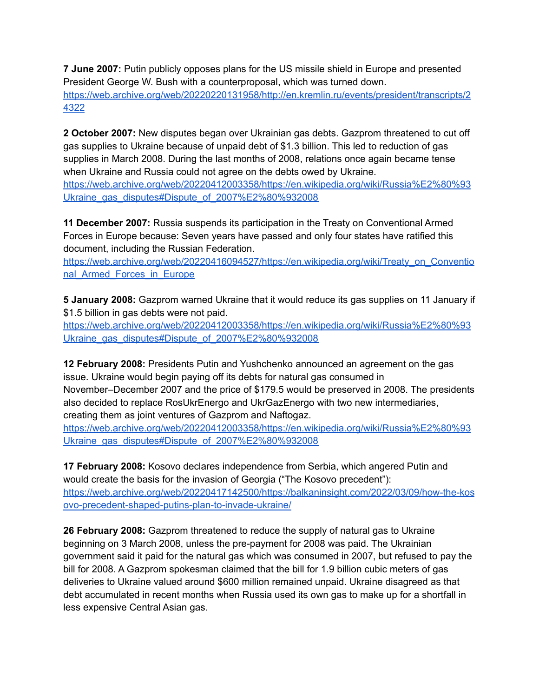**7 June 2007:** Putin publicly opposes plans for the US missile shield in Europe and presented President George W. Bush with a counterproposal, which was turned down. [https://web.archive.org/web/20220220131958/http://en.kremlin.ru/events/president/transcripts/2](https://web.archive.org/web/20220220131958/http://en.kremlin.ru/events/president/transcripts/24322) [4322](https://web.archive.org/web/20220220131958/http://en.kremlin.ru/events/president/transcripts/24322)

**2 October 2007:** New disputes began over Ukrainian gas debts. Gazprom threatened to cut off gas supplies to Ukraine because of unpaid debt of \$1.3 billion. This led to reduction of gas supplies in March 2008. During the last months of 2008, relations once again became tense when Ukraine and Russia could not agree on the debts owed by Ukraine. [https://web.archive.org/web/20220412003358/https://en.wikipedia.org/wiki/Russia%E2%80%93](https://web.archive.org/web/20220412003358/https://en.wikipedia.org/wiki/Russia%E2%80%93Ukraine_gas_disputes#Dispute_of_2007%E2%80%932008) [Ukraine\\_gas\\_disputes#Dispute\\_of\\_2007%E2%80%932008](https://web.archive.org/web/20220412003358/https://en.wikipedia.org/wiki/Russia%E2%80%93Ukraine_gas_disputes#Dispute_of_2007%E2%80%932008)

**11 December 2007:** Russia suspends its participation in the Treaty on Conventional Armed Forces in Europe because: Seven years have passed and only four states have ratified this document, including the Russian Federation.

[https://web.archive.org/web/20220416094527/https://en.wikipedia.org/wiki/Treaty\\_on\\_Conventio](https://web.archive.org/web/20220416094527/https://en.wikipedia.org/wiki/Treaty_on_Conventional_Armed_Forces_in_Europe) nal Armed Forces in Europe

**5 January 2008:** Gazprom warned Ukraine that it would reduce its gas supplies on 11 January if \$1.5 billion in gas debts were not paid.

[https://web.archive.org/web/20220412003358/https://en.wikipedia.org/wiki/Russia%E2%80%93](https://web.archive.org/web/20220412003358/https://en.wikipedia.org/wiki/Russia%E2%80%93Ukraine_gas_disputes#Dispute_of_2007%E2%80%932008) [Ukraine\\_gas\\_disputes#Dispute\\_of\\_2007%E2%80%932008](https://web.archive.org/web/20220412003358/https://en.wikipedia.org/wiki/Russia%E2%80%93Ukraine_gas_disputes#Dispute_of_2007%E2%80%932008)

**12 February 2008:** Presidents Putin and Yushchenko announced an agreement on the gas issue. Ukraine would begin paying off its debts for natural gas consumed in November–December 2007 and the price of \$179.5 would be preserved in 2008. The presidents also decided to replace RosUkrEnergo and UkrGazEnergo with two new intermediaries, creating them as joint ventures of Gazprom and Naftogaz.

[https://web.archive.org/web/20220412003358/https://en.wikipedia.org/wiki/Russia%E2%80%93](https://web.archive.org/web/20220412003358/https://en.wikipedia.org/wiki/Russia%E2%80%93Ukraine_gas_disputes#Dispute_of_2007%E2%80%932008) [Ukraine\\_gas\\_disputes#Dispute\\_of\\_2007%E2%80%932008](https://web.archive.org/web/20220412003358/https://en.wikipedia.org/wiki/Russia%E2%80%93Ukraine_gas_disputes#Dispute_of_2007%E2%80%932008)

**17 February 2008:** Kosovo declares independence from Serbia, which angered Putin and would create the basis for the invasion of Georgia ("The Kosovo precedent"): [https://web.archive.org/web/20220417142500/https://balkaninsight.com/2022/03/09/how-the-kos](https://web.archive.org/web/20220417142500/https://balkaninsight.com/2022/03/09/how-the-kosovo-precedent-shaped-putins-plan-to-invade-ukraine/) [ovo-precedent-shaped-putins-plan-to-invade-ukraine/](https://web.archive.org/web/20220417142500/https://balkaninsight.com/2022/03/09/how-the-kosovo-precedent-shaped-putins-plan-to-invade-ukraine/)

**26 February 2008:** Gazprom threatened to reduce the supply of natural gas to Ukraine beginning on 3 March 2008, unless the pre-payment for 2008 was paid. The Ukrainian government said it paid for the natural gas which was consumed in 2007, but refused to pay the bill for 2008. A Gazprom spokesman claimed that the bill for 1.9 billion cubic meters of gas deliveries to Ukraine valued around \$600 million remained unpaid. Ukraine disagreed as that debt accumulated in recent months when Russia used its own gas to make up for a shortfall in less expensive Central Asian gas.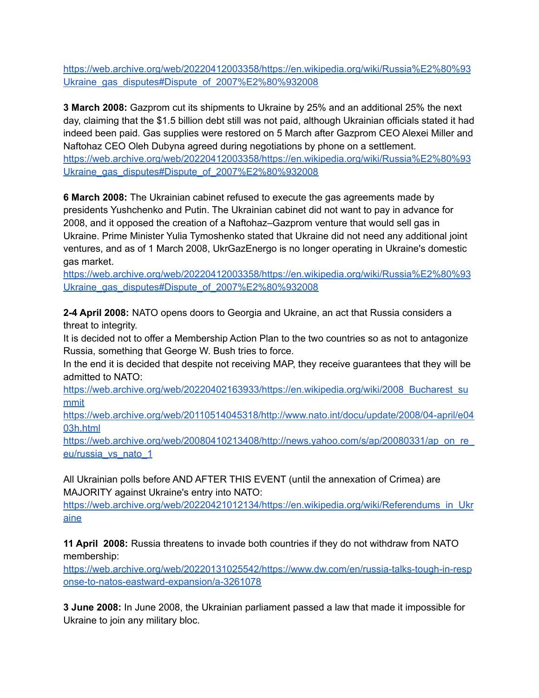[https://web.archive.org/web/20220412003358/https://en.wikipedia.org/wiki/Russia%E2%80%93](https://web.archive.org/web/20220412003358/https://en.wikipedia.org/wiki/Russia%E2%80%93Ukraine_gas_disputes#Dispute_of_2007%E2%80%932008) [Ukraine\\_gas\\_disputes#Dispute\\_of\\_2007%E2%80%932008](https://web.archive.org/web/20220412003358/https://en.wikipedia.org/wiki/Russia%E2%80%93Ukraine_gas_disputes#Dispute_of_2007%E2%80%932008)

**3 March 2008:** Gazprom cut its shipments to Ukraine by 25% and an additional 25% the next day, claiming that the \$1.5 billion debt still was not paid, although Ukrainian officials stated it had indeed been paid. Gas supplies were restored on 5 March after Gazprom CEO Alexei Miller and Naftohaz CEO Oleh Dubyna agreed during negotiations by phone on a settlement. [https://web.archive.org/web/20220412003358/https://en.wikipedia.org/wiki/Russia%E2%80%93](https://web.archive.org/web/20220412003358/https://en.wikipedia.org/wiki/Russia%E2%80%93Ukraine_gas_disputes#Dispute_of_2007%E2%80%932008) [Ukraine\\_gas\\_disputes#Dispute\\_of\\_2007%E2%80%932008](https://web.archive.org/web/20220412003358/https://en.wikipedia.org/wiki/Russia%E2%80%93Ukraine_gas_disputes#Dispute_of_2007%E2%80%932008)

**6 March 2008:** The Ukrainian cabinet refused to execute the gas agreements made by presidents Yushchenko and Putin. The Ukrainian cabinet did not want to pay in advance for 2008, and it opposed the creation of a Naftohaz–Gazprom venture that would sell gas in Ukraine. Prime Minister Yulia Tymoshenko stated that Ukraine did not need any additional joint ventures, and as of 1 March 2008, UkrGazEnergo is no longer operating in Ukraine's domestic gas market.

[https://web.archive.org/web/20220412003358/https://en.wikipedia.org/wiki/Russia%E2%80%93](https://web.archive.org/web/20220412003358/https://en.wikipedia.org/wiki/Russia%E2%80%93Ukraine_gas_disputes#Dispute_of_2007%E2%80%932008) [Ukraine\\_gas\\_disputes#Dispute\\_of\\_2007%E2%80%932008](https://web.archive.org/web/20220412003358/https://en.wikipedia.org/wiki/Russia%E2%80%93Ukraine_gas_disputes#Dispute_of_2007%E2%80%932008)

**2-4 April 2008:** NATO opens doors to Georgia and Ukraine, an act that Russia considers a threat to integrity.

It is decided not to offer a Membership Action Plan to the two countries so as not to antagonize Russia, something that George W. Bush tries to force.

In the end it is decided that despite not receiving MAP, they receive guarantees that they will be admitted to NATO:

[https://web.archive.org/web/20220402163933/https://en.wikipedia.org/wiki/2008\\_Bucharest\\_su](https://web.archive.org/web/20220402163933/https://en.wikipedia.org/wiki/2008_Bucharest_summit) [mmit](https://web.archive.org/web/20220402163933/https://en.wikipedia.org/wiki/2008_Bucharest_summit)

[https://web.archive.org/web/20110514045318/http://www.nato.int/docu/update/2008/04-april/e04](https://web.archive.org/web/20110514045318/http://www.nato.int/docu/update/2008/04-april/e0403h.html) [03h.html](https://web.archive.org/web/20110514045318/http://www.nato.int/docu/update/2008/04-april/e0403h.html)

https://web.archive.org/web/20080410213408/http://news.yahoo.com/s/ap/20080331/ap\_on\_re [eu/russia\\_vs\\_nato\\_1](https://web.archive.org/web/20080410213408/http://news.yahoo.com/s/ap/20080331/ap_on_re_eu/russia_vs_nato_1)

All Ukrainian polls before AND AFTER THIS EVENT (until the annexation of Crimea) are MAJORITY against Ukraine's entry into NATO:

[https://web.archive.org/web/20220421012134/https://en.wikipedia.org/wiki/Referendums\\_in\\_Ukr](https://web.archive.org/web/20220421012134/https://en.wikipedia.org/wiki/Referendums_in_Ukraine) [aine](https://web.archive.org/web/20220421012134/https://en.wikipedia.org/wiki/Referendums_in_Ukraine)

**11 April 2008:** Russia threatens to invade both countries if they do not withdraw from NATO membership:

[https://web.archive.org/web/20220131025542/https://www.dw.com/en/russia-talks-tough-in-resp](https://web.archive.org/web/20220131025542/https://www.dw.com/en/russia-talks-tough-in-response-to-natos-eastward-expansion/a-3261078) [onse-to-natos-eastward-expansion/a-3261078](https://web.archive.org/web/20220131025542/https://www.dw.com/en/russia-talks-tough-in-response-to-natos-eastward-expansion/a-3261078)

**3 June 2008:** In June 2008, the Ukrainian parliament passed a law that made it impossible for Ukraine to join any military bloc.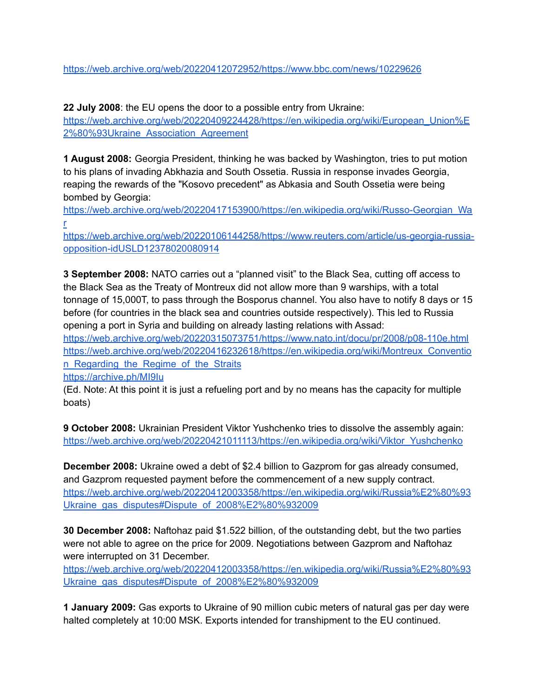<https://web.archive.org/web/20220412072952/https://www.bbc.com/news/10229626>

**22 July 2008**: the EU opens the door to a possible entry from Ukraine:

[https://web.archive.org/web/20220409224428/https://en.wikipedia.org/wiki/European\\_Union%E](https://web.archive.org/web/20220409224428/https://en.wikipedia.org/wiki/European_Union%E2%80%93Ukraine_Association_Agreement) [2%80%93Ukraine\\_Association\\_Agreement](https://web.archive.org/web/20220409224428/https://en.wikipedia.org/wiki/European_Union%E2%80%93Ukraine_Association_Agreement)

**1 August 2008:** Georgia President, thinking he was backed by Washington, tries to put motion to his plans of invading Abkhazia and South Ossetia. Russia in response invades Georgia, reaping the rewards of the "Kosovo precedent" as Abkasia and South Ossetia were being bombed by Georgia:

[https://web.archive.org/web/20220417153900/https://en.wikipedia.org/wiki/Russo-Georgian\\_Wa](https://web.archive.org/web/20220417153900/https://en.wikipedia.org/wiki/Russo-Georgian_War) [r](https://web.archive.org/web/20220417153900/https://en.wikipedia.org/wiki/Russo-Georgian_War)

[https://web.archive.org/web/20220106144258/https://www.reuters.com/article/us-georgia-russia](https://web.archive.org/web/20220106144258/https://www.reuters.com/article/us-georgia-russia-opposition-idUSLD12378020080914)[opposition-idUSLD12378020080914](https://web.archive.org/web/20220106144258/https://www.reuters.com/article/us-georgia-russia-opposition-idUSLD12378020080914)

**3 September 2008:** NATO carries out a "planned visit" to the Black Sea, cutting off access to the Black Sea as the Treaty of Montreux did not allow more than 9 warships, with a total tonnage of 15,000T, to pass through the Bosporus channel. You also have to notify 8 days or 15 before (for countries in the black sea and countries outside respectively). This led to Russia opening a port in Syria and building on already lasting relations with Assad:

<https://web.archive.org/web/20220315073751/https://www.nato.int/docu/pr/2008/p08-110e.html> [https://web.archive.org/web/20220416232618/https://en.wikipedia.org/wiki/Montreux\\_Conventio](https://web.archive.org/web/20220416232618/https://en.wikipedia.org/wiki/Montreux_Convention_Regarding_the_Regime_of_the_Straits) n Regarding the Regime of the Straits

<https://archive.ph/MI9Iu>

(Ed. Note: At this point it is just a refueling port and by no means has the capacity for multiple boats)

**9 October 2008:** Ukrainian President Viktor Yushchenko tries to dissolve the assembly again: [https://web.archive.org/web/20220421011113/https://en.wikipedia.org/wiki/Viktor\\_Yushchenko](https://web.archive.org/web/20220421011113/https://en.wikipedia.org/wiki/Viktor_Yushchenko)

**December 2008:** Ukraine owed a debt of \$2.4 billion to Gazprom for gas already consumed, and Gazprom requested payment before the commencement of a new supply contract. [https://web.archive.org/web/20220412003358/https://en.wikipedia.org/wiki/Russia%E2%80%93](https://web.archive.org/web/20220412003358/https://en.wikipedia.org/wiki/Russia%E2%80%93Ukraine_gas_disputes#Dispute_of_2008%E2%80%932009) [Ukraine\\_gas\\_disputes#Dispute\\_of\\_2008%E2%80%932009](https://web.archive.org/web/20220412003358/https://en.wikipedia.org/wiki/Russia%E2%80%93Ukraine_gas_disputes#Dispute_of_2008%E2%80%932009)

**30 December 2008:** Naftohaz paid \$1.522 billion, of the outstanding debt, but the two parties were not able to agree on the price for 2009. Negotiations between Gazprom and Naftohaz were interrupted on 31 December.

[https://web.archive.org/web/20220412003358/https://en.wikipedia.org/wiki/Russia%E2%80%93](https://web.archive.org/web/20220412003358/https://en.wikipedia.org/wiki/Russia%E2%80%93Ukraine_gas_disputes#Dispute_of_2008%E2%80%932009) [Ukraine\\_gas\\_disputes#Dispute\\_of\\_2008%E2%80%932009](https://web.archive.org/web/20220412003358/https://en.wikipedia.org/wiki/Russia%E2%80%93Ukraine_gas_disputes#Dispute_of_2008%E2%80%932009)

**1 January 2009:** Gas exports to Ukraine of 90 million cubic meters of natural gas per day were halted completely at 10:00 MSK. Exports intended for transhipment to the EU continued.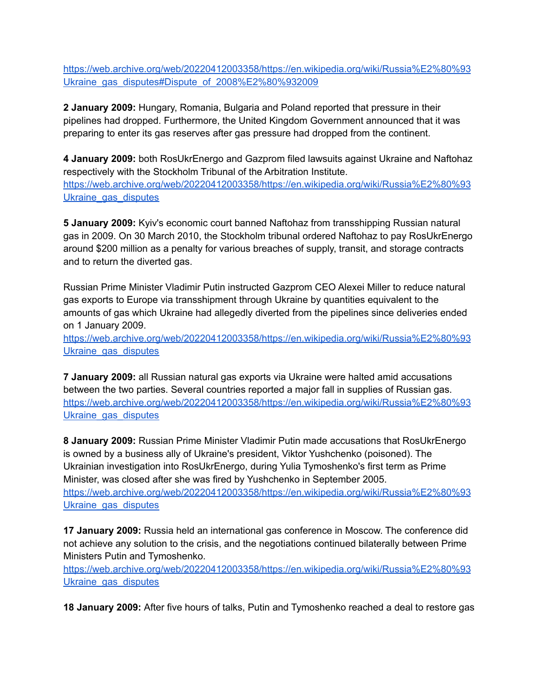[https://web.archive.org/web/20220412003358/https://en.wikipedia.org/wiki/Russia%E2%80%93](https://web.archive.org/web/20220412003358/https://en.wikipedia.org/wiki/Russia%E2%80%93Ukraine_gas_disputes#Dispute_of_2008%E2%80%932009) [Ukraine\\_gas\\_disputes#Dispute\\_of\\_2008%E2%80%932009](https://web.archive.org/web/20220412003358/https://en.wikipedia.org/wiki/Russia%E2%80%93Ukraine_gas_disputes#Dispute_of_2008%E2%80%932009)

**2 January 2009:** Hungary, Romania, Bulgaria and Poland reported that pressure in their pipelines had dropped. Furthermore, the United Kingdom Government announced that it was preparing to enter its gas reserves after gas pressure had dropped from the continent.

**4 January 2009:** both RosUkrEnergo and Gazprom filed lawsuits against Ukraine and Naftohaz respectively with the Stockholm Tribunal of the Arbitration Institute. [https://web.archive.org/web/20220412003358/https://en.wikipedia.org/wiki/Russia%E2%80%93](https://web.archive.org/web/20220412003358/https://en.wikipedia.org/wiki/Russia%E2%80%93Ukraine_gas_disputes) Ukraine gas disputes

**5 January 2009:** Kyiv's economic court banned Naftohaz from transshipping Russian natural gas in 2009. On 30 March 2010, the Stockholm tribunal ordered Naftohaz to pay RosUkrEnergo around \$200 million as a penalty for various breaches of supply, transit, and storage contracts and to return the diverted gas.

Russian Prime Minister Vladimir Putin instructed Gazprom CEO Alexei Miller to reduce natural gas exports to Europe via transshipment through Ukraine by quantities equivalent to the amounts of gas which Ukraine had allegedly diverted from the pipelines since deliveries ended on 1 January 2009.

[https://web.archive.org/web/20220412003358/https://en.wikipedia.org/wiki/Russia%E2%80%93](https://web.archive.org/web/20220412003358/https://en.wikipedia.org/wiki/Russia%E2%80%93Ukraine_gas_disputes) Ukraine gas disputes

**7 January 2009:** all Russian natural gas exports via Ukraine were halted amid accusations between the two parties. Several countries reported a major fall in supplies of Russian gas. [https://web.archive.org/web/20220412003358/https://en.wikipedia.org/wiki/Russia%E2%80%93](https://web.archive.org/web/20220412003358/https://en.wikipedia.org/wiki/Russia%E2%80%93Ukraine_gas_disputes) Ukraine gas disputes

**8 January 2009:** Russian Prime Minister Vladimir Putin made accusations that RosUkrEnergo is owned by a business ally of Ukraine's president, Viktor Yushchenko (poisoned). The Ukrainian investigation into RosUkrEnergo, during Yulia Tymoshenko's first term as Prime Minister, was closed after she was fired by Yushchenko in September 2005. [https://web.archive.org/web/20220412003358/https://en.wikipedia.org/wiki/Russia%E2%80%93](https://web.archive.org/web/20220412003358/https://en.wikipedia.org/wiki/Russia%E2%80%93Ukraine_gas_disputes) Ukraine gas disputes

**17 January 2009:** Russia held an international gas conference in Moscow. The conference did not achieve any solution to the crisis, and the negotiations continued bilaterally between Prime Ministers Putin and Tymoshenko.

[https://web.archive.org/web/20220412003358/https://en.wikipedia.org/wiki/Russia%E2%80%93](https://web.archive.org/web/20220412003358/https://en.wikipedia.org/wiki/Russia%E2%80%93Ukraine_gas_disputes) Ukraine gas disputes

**18 January 2009:** After five hours of talks, Putin and Tymoshenko reached a deal to restore gas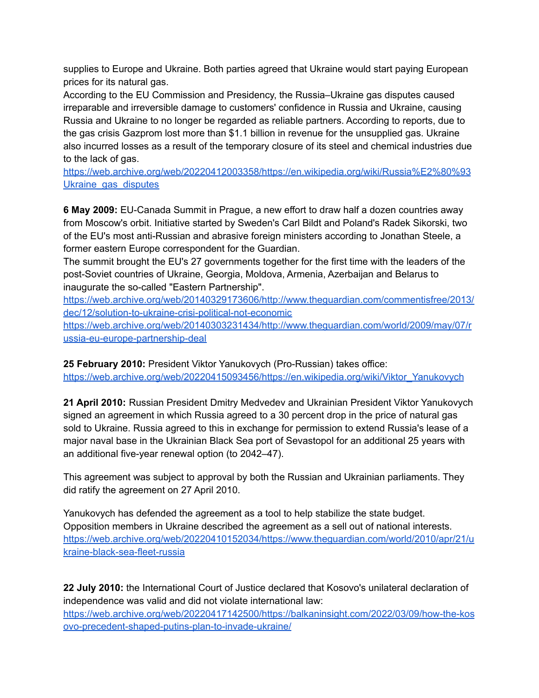supplies to Europe and Ukraine. Both parties agreed that Ukraine would start paying European prices for its natural gas.

According to the EU Commission and Presidency, the Russia–Ukraine gas disputes caused irreparable and irreversible damage to customers' confidence in Russia and Ukraine, causing Russia and Ukraine to no longer be regarded as reliable partners. According to reports, due to the gas crisis Gazprom lost more than \$1.1 billion in revenue for the unsupplied gas. Ukraine also incurred losses as a result of the temporary closure of its steel and chemical industries due to the lack of gas.

[https://web.archive.org/web/20220412003358/https://en.wikipedia.org/wiki/Russia%E2%80%93](https://web.archive.org/web/20220412003358/https://en.wikipedia.org/wiki/Russia%E2%80%93Ukraine_gas_disputes) Ukraine gas disputes

**6 May 2009:** EU-Canada Summit in Prague, a new effort to draw half a dozen countries away from Moscow's orbit. Initiative started by Sweden's Carl Bildt and Poland's Radek Sikorski, two of the EU's most anti-Russian and abrasive foreign ministers according to Jonathan Steele, a former eastern Europe correspondent for the Guardian.

The summit brought the EU's 27 governments together for the first time with the leaders of the post-Soviet countries of Ukraine, Georgia, Moldova, Armenia, Azerbaijan and Belarus to inaugurate the so-called "Eastern Partnership".

[https://web.archive.org/web/20140329173606/http://www.theguardian.com/commentisfree/2013/](https://web.archive.org/web/20140329173606/http://www.theguardian.com/commentisfree/2013/dec/12/solution-to-ukraine-crisi-political-not-economic) [dec/12/solution-to-ukraine-crisi-political-not-economic](https://web.archive.org/web/20140329173606/http://www.theguardian.com/commentisfree/2013/dec/12/solution-to-ukraine-crisi-political-not-economic)

[https://web.archive.org/web/20140303231434/http://www.theguardian.com/world/2009/may/07/r](https://web.archive.org/web/20140303231434/http://www.theguardian.com/world/2009/may/07/russia-eu-europe-partnership-deal) [ussia-eu-europe-partnership-deal](https://web.archive.org/web/20140303231434/http://www.theguardian.com/world/2009/may/07/russia-eu-europe-partnership-deal)

**25 February 2010:** President Viktor Yanukovych (Pro-Russian) takes office: [https://web.archive.org/web/20220415093456/https://en.wikipedia.org/wiki/Viktor\\_Yanukovych](https://web.archive.org/web/20220415093456/https://en.wikipedia.org/wiki/Viktor_Yanukovych)

**21 April 2010:** Russian President Dmitry Medvedev and Ukrainian President Viktor Yanukovych signed an agreement in which Russia agreed to a 30 percent drop in the price of natural gas sold to Ukraine. Russia agreed to this in exchange for permission to extend Russia's lease of a major naval base in the Ukrainian Black Sea port of Sevastopol for an additional 25 years with an additional five-year renewal option (to 2042–47).

This agreement was subject to approval by both the Russian and Ukrainian parliaments. They did ratify the agreement on 27 April 2010.

Yanukovych has defended the agreement as a tool to help stabilize the state budget. Opposition members in Ukraine described the agreement as a sell out of national interests. [https://web.archive.org/web/20220410152034/https://www.theguardian.com/world/2010/apr/21/u](https://web.archive.org/web/20220410152034/https://www.theguardian.com/world/2010/apr/21/ukraine-black-sea-fleet-russia) [kraine-black-sea-fleet-russia](https://web.archive.org/web/20220410152034/https://www.theguardian.com/world/2010/apr/21/ukraine-black-sea-fleet-russia)

**22 July 2010:** the International Court of Justice declared that Kosovo's unilateral declaration of independence was valid and did not violate international law: [https://web.archive.org/web/20220417142500/https://balkaninsight.com/2022/03/09/how-the-kos](https://web.archive.org/web/20220417142500/https://balkaninsight.com/2022/03/09/how-the-kosovo-precedent-shaped-putins-plan-to-invade-ukraine/) [ovo-precedent-shaped-putins-plan-to-invade-ukraine/](https://web.archive.org/web/20220417142500/https://balkaninsight.com/2022/03/09/how-the-kosovo-precedent-shaped-putins-plan-to-invade-ukraine/)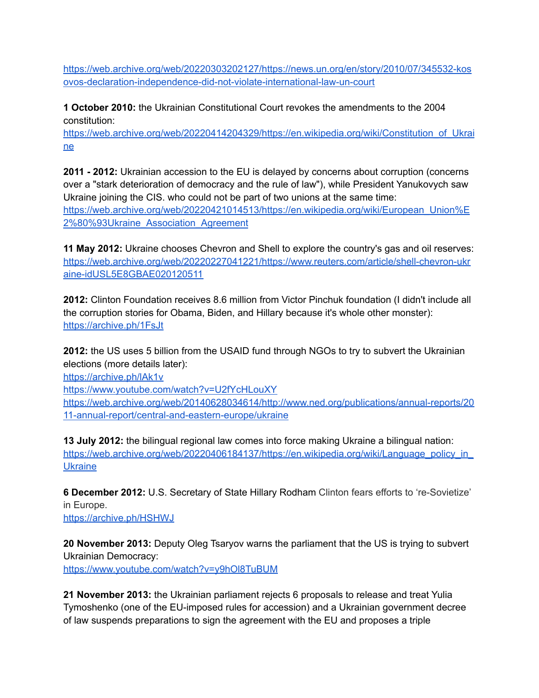[https://web.archive.org/web/20220303202127/https://news.un.org/en/story/2010/07/345532-kos](https://web.archive.org/web/20220303202127/https://news.un.org/en/story/2010/07/345532-kosovos-declaration-independence-did-not-violate-international-law-un-court) [ovos-declaration-independence-did-not-violate-international-law-un-court](https://web.archive.org/web/20220303202127/https://news.un.org/en/story/2010/07/345532-kosovos-declaration-independence-did-not-violate-international-law-un-court)

**1 October 2010:** the Ukrainian Constitutional Court revokes the amendments to the 2004 constitution:

[https://web.archive.org/web/20220414204329/https://en.wikipedia.org/wiki/Constitution\\_of\\_Ukrai](https://web.archive.org/web/20220414204329/https://en.wikipedia.org/wiki/Constitution_of_Ukraine) [ne](https://web.archive.org/web/20220414204329/https://en.wikipedia.org/wiki/Constitution_of_Ukraine)

**2011 - 2012:** Ukrainian accession to the EU is delayed by concerns about corruption (concerns over a "stark deterioration of democracy and the rule of law"), while President Yanukovych saw Ukraine joining the CIS. who could not be part of two unions at the same time: [https://web.archive.org/web/20220421014513/https://en.wikipedia.org/wiki/European\\_Union%E](https://web.archive.org/web/20220421014513/https://en.wikipedia.org/wiki/European_Union%E2%80%93Ukraine_Association_Agreement) [2%80%93Ukraine\\_Association\\_Agreement](https://web.archive.org/web/20220421014513/https://en.wikipedia.org/wiki/European_Union%E2%80%93Ukraine_Association_Agreement)

**11 May 2012:** Ukraine chooses Chevron and Shell to explore the country's gas and oil reserves: [https://web.archive.org/web/20220227041221/https://www.reuters.com/article/shell-chevron-ukr](https://web.archive.org/web/20220227041221/https://www.reuters.com/article/shell-chevron-ukraine-idUSL5E8GBAE020120511) [aine-idUSL5E8GBAE020120511](https://web.archive.org/web/20220227041221/https://www.reuters.com/article/shell-chevron-ukraine-idUSL5E8GBAE020120511)

**2012:** Clinton Foundation receives 8.6 million from Victor Pinchuk foundation (I didn't include all the corruption stories for Obama, Biden, and Hillary because it's whole other monster): <https://archive.ph/1FsJt>

**2012:** the US uses 5 billion from the USAID fund through NGOs to try to subvert the Ukrainian elections (more details later):

<https://archive.ph/lAk1v>

<https://www.youtube.com/watch?v=U2fYcHLouXY> [https://web.archive.org/web/20140628034614/http://www.ned.org/publications/annual-reports/20](https://web.archive.org/web/20140628034614/http://www.ned.org/publications/annual-reports/2011-annual-report/central-and-eastern-europe/ukraine) [11-annual-report/central-and-eastern-europe/ukraine](https://web.archive.org/web/20140628034614/http://www.ned.org/publications/annual-reports/2011-annual-report/central-and-eastern-europe/ukraine)

**13 July 2012:** the bilingual regional law comes into force making Ukraine a bilingual nation: [https://web.archive.org/web/20220406184137/https://en.wikipedia.org/wiki/Language\\_policy\\_in\\_](https://web.archive.org/web/20220406184137/https://en.wikipedia.org/wiki/Language_policy_in_Ukraine) **[Ukraine](https://web.archive.org/web/20220406184137/https://en.wikipedia.org/wiki/Language_policy_in_Ukraine)** 

**6 December 2012:** U.S. Secretary of State Hillary Rodham Clinton fears efforts to 're-Sovietize' in Europe.

<https://archive.ph/HSHWJ>

**20 November 2013:** Deputy Oleg Tsaryov warns the parliament that the US is trying to subvert Ukrainian Democracy: <https://www.youtube.com/watch?v=y9hOl8TuBUM>

**21 November 2013:** the Ukrainian parliament rejects 6 proposals to release and treat Yulia Tymoshenko (one of the EU-imposed rules for accession) and a Ukrainian government decree of law suspends preparations to sign the agreement with the EU and proposes a triple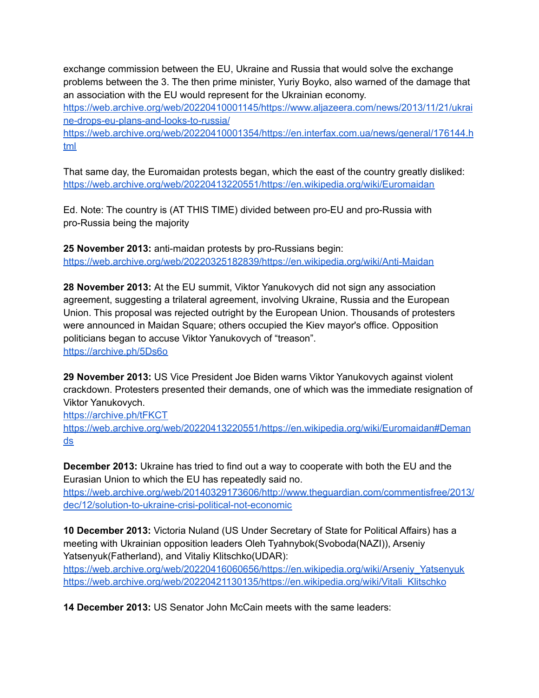exchange commission between the EU, Ukraine and Russia that would solve the exchange problems between the 3. The then prime minister, Yuriy Boyko, also warned of the damage that an association with the EU would represent for the Ukrainian economy.

[https://web.archive.org/web/20220410001145/https://www.aljazeera.com/news/2013/11/21/ukrai](https://web.archive.org/web/20220410001145/https://www.aljazeera.com/news/2013/11/21/ukraine-drops-eu-plans-and-looks-to-russia/) [ne-drops-eu-plans-and-looks-to-russia/](https://web.archive.org/web/20220410001145/https://www.aljazeera.com/news/2013/11/21/ukraine-drops-eu-plans-and-looks-to-russia/)

[https://web.archive.org/web/20220410001354/https://en.interfax.com.ua/news/general/176144.h](https://web.archive.org/web/20220410001354/https://en.interfax.com.ua/news/general/176144.html) [tml](https://web.archive.org/web/20220410001354/https://en.interfax.com.ua/news/general/176144.html)

That same day, the Euromaidan protests began, which the east of the country greatly disliked: <https://web.archive.org/web/20220413220551/https://en.wikipedia.org/wiki/Euromaidan>

Ed. Note: The country is (AT THIS TIME) divided between pro-EU and pro-Russia with pro-Russia being the majority

**25 November 2013:** anti-maidan protests by pro-Russians begin: <https://web.archive.org/web/20220325182839/https://en.wikipedia.org/wiki/Anti-Maidan>

**28 November 2013:** At the EU summit, Viktor Yanukovych did not sign any association agreement, suggesting a trilateral agreement, involving Ukraine, Russia and the European Union. This proposal was rejected outright by the European Union. Thousands of protesters were announced in Maidan Square; others occupied the Kiev mayor's office. Opposition politicians began to accuse Viktor Yanukovych of "treason". <https://archive.ph/5Ds6o>

**29 November 2013:** US Vice President Joe Biden warns Viktor Yanukovych against violent crackdown. Protesters presented their demands, one of which was the immediate resignation of Viktor Yanukovych.

<https://archive.ph/tFKCT>

[https://web.archive.org/web/20220413220551/https://en.wikipedia.org/wiki/Euromaidan#Deman](https://web.archive.org/web/20220413220551/https://en.wikipedia.org/wiki/Euromaidan#Demands) [ds](https://web.archive.org/web/20220413220551/https://en.wikipedia.org/wiki/Euromaidan#Demands)

**December 2013:** Ukraine has tried to find out a way to cooperate with both the EU and the Eurasian Union to which the EU has repeatedly said no.

[https://web.archive.org/web/20140329173606/http://www.theguardian.com/commentisfree/2013/](https://web.archive.org/web/20140329173606/http://www.theguardian.com/commentisfree/2013/dec/12/solution-to-ukraine-crisi-political-not-economic) [dec/12/solution-to-ukraine-crisi-political-not-economic](https://web.archive.org/web/20140329173606/http://www.theguardian.com/commentisfree/2013/dec/12/solution-to-ukraine-crisi-political-not-economic)

**10 December 2013:** Victoria Nuland (US Under Secretary of State for Political Affairs) has a meeting with Ukrainian opposition leaders Oleh Tyahnybok(Svoboda(NAZI)), Arseniy Yatsenyuk(Fatherland), and Vitaliy Klitschko(UDAR):

[https://web.archive.org/web/20220416060656/https://en.wikipedia.org/wiki/Arseniy\\_Yatsenyuk](https://web.archive.org/web/20220416060656/https://en.wikipedia.org/wiki/Arseniy_Yatsenyuk) [https://web.archive.org/web/20220421130135/https://en.wikipedia.org/wiki/Vitali\\_Klitschko](https://web.archive.org/web/20220421130135/https://en.wikipedia.org/wiki/Vitali_Klitschko)

**14 December 2013:** US Senator John McCain meets with the same leaders: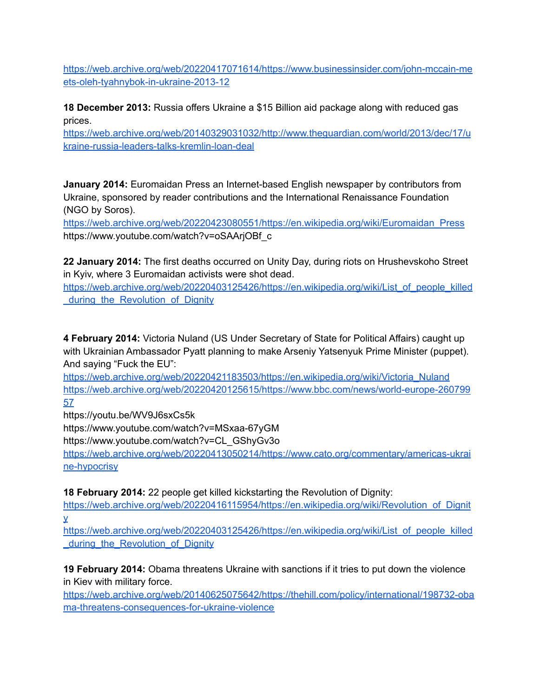[https://web.archive.org/web/20220417071614/https://www.businessinsider.com/john-mccain-me](https://web.archive.org/web/20220417071614/https://www.businessinsider.com/john-mccain-meets-oleh-tyahnybok-in-ukraine-2013-12) [ets-oleh-tyahnybok-in-ukraine-2013-12](https://web.archive.org/web/20220417071614/https://www.businessinsider.com/john-mccain-meets-oleh-tyahnybok-in-ukraine-2013-12)

**18 December 2013:** Russia offers Ukraine a \$15 Billion aid package along with reduced gas prices.

[https://web.archive.org/web/20140329031032/http://www.theguardian.com/world/2013/dec/17/u](https://web.archive.org/web/20140329031032/http://www.theguardian.com/world/2013/dec/17/ukraine-russia-leaders-talks-kremlin-loan-deal) [kraine-russia-leaders-talks-kremlin-loan-deal](https://web.archive.org/web/20140329031032/http://www.theguardian.com/world/2013/dec/17/ukraine-russia-leaders-talks-kremlin-loan-deal)

**January 2014:** Euromaidan Press an Internet-based English newspaper by contributors from Ukraine, sponsored by reader contributions and the International Renaissance Foundation (NGO by Soros).

[https://web.archive.org/web/20220423080551/https://en.wikipedia.org/wiki/Euromaidan\\_Press](https://web.archive.org/web/20220423080551/https://en.wikipedia.org/wiki/Euromaidan_Press) https://www.youtube.com/watch?v=oSAArjOBf\_c

**22 January 2014:** The first deaths occurred on Unity Day, during riots on Hrushevskoho Street in Kyiv, where 3 Euromaidan activists were shot dead.

[https://web.archive.org/web/20220403125426/https://en.wikipedia.org/wiki/List\\_of\\_people\\_killed](https://web.archive.org/web/20220403125426/https://en.wikipedia.org/wiki/List_of_people_killed_during_the_Revolution_of_Dignity) during the Revolution of Dignity

**4 February 2014:** Victoria Nuland (US Under Secretary of State for Political Affairs) caught up with Ukrainian Ambassador Pyatt planning to make Arseniy Yatsenyuk Prime Minister (puppet). And saying "Fuck the EU":

[https://web.archive.org/web/20220421183503/https://en.wikipedia.org/wiki/Victoria\\_Nuland](https://web.archive.org/web/20220421183503/https://en.wikipedia.org/wiki/Victoria_Nuland) [https://web.archive.org/web/20220420125615/https://www.bbc.com/news/world-europe-260799](https://web.archive.org/web/20220420125615/https://www.bbc.com/news/world-europe-26079957) [57](https://web.archive.org/web/20220420125615/https://www.bbc.com/news/world-europe-26079957)

https://youtu.be/WV9J6sxCs5k

https://www.youtube.com/watch?v=MSxaa-67yGM

https://www.youtube.com/watch?v=CL\_GShyGv3o

[https://web.archive.org/web/20220413050214/https://www.cato.org/commentary/americas-ukrai](https://web.archive.org/web/20220413050214/https://www.cato.org/commentary/americas-ukraine-hypocrisy) [ne-hypocrisy](https://web.archive.org/web/20220413050214/https://www.cato.org/commentary/americas-ukraine-hypocrisy)

**18 February 2014:** 22 people get killed kickstarting the Revolution of Dignity:

[https://web.archive.org/web/20220416115954/https://en.wikipedia.org/wiki/Revolution\\_of\\_Dignit](https://web.archive.org/web/20220416115954/https://en.wikipedia.org/wiki/Revolution_of_Dignity) [y](https://web.archive.org/web/20220416115954/https://en.wikipedia.org/wiki/Revolution_of_Dignity)

[https://web.archive.org/web/20220403125426/https://en.wikipedia.org/wiki/List\\_of\\_people\\_killed](https://web.archive.org/web/20220403125426/https://en.wikipedia.org/wiki/List_of_people_killed_during_the_Revolution_of_Dignity) during the Revolution of Dignity

**19 February 2014:** Obama threatens Ukraine with sanctions if it tries to put down the violence in Kiev with military force.

[https://web.archive.org/web/20140625075642/https://thehill.com/policy/international/198732-oba](https://web.archive.org/web/20140625075642/https://thehill.com/policy/international/198732-obama-threatens-consequences-for-ukraine-violence) [ma-threatens-consequences-for-ukraine-violence](https://web.archive.org/web/20140625075642/https://thehill.com/policy/international/198732-obama-threatens-consequences-for-ukraine-violence)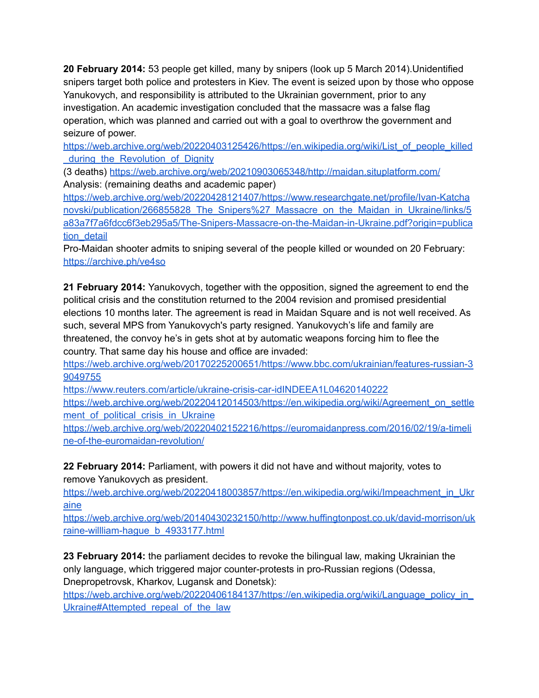**20 February 2014:** 53 people get killed, many by snipers (look up 5 March 2014).Unidentified snipers target both police and protesters in Kiev. The event is seized upon by those who oppose Yanukovych, and responsibility is attributed to the Ukrainian government, prior to any investigation. An academic investigation concluded that the massacre was a false flag operation, which was planned and carried out with a goal to overthrow the government and seizure of power.

[https://web.archive.org/web/20220403125426/https://en.wikipedia.org/wiki/List\\_of\\_people\\_killed](https://web.archive.org/web/20220403125426/https://en.wikipedia.org/wiki/List_of_people_killed_during_the_Revolution_of_Dignity) [\\_during\\_the\\_Revolution\\_of\\_Dignity](https://web.archive.org/web/20220403125426/https://en.wikipedia.org/wiki/List_of_people_killed_during_the_Revolution_of_Dignity)

(3 deaths) <https://web.archive.org/web/20210903065348/http://maidan.situplatform.com/> Analysis: (remaining deaths and academic paper)

[https://web.archive.org/web/20220428121407/https://www.researchgate.net/profile/Ivan-Katcha](https://web.archive.org/web/20220428121407/https://www.researchgate.net/profile/Ivan-Katchanovski/publication/266855828_The_Snipers%27_Massacre_on_the_Maidan_in_Ukraine/links/5a83a7f7a6fdcc6f3eb295a5/The-Snipers-Massacre-on-the-Maidan-in-Ukraine.pdf?origin=publication_detail) [novski/publication/266855828\\_The\\_Snipers%27\\_Massacre\\_on\\_the\\_Maidan\\_in\\_Ukraine/links/5](https://web.archive.org/web/20220428121407/https://www.researchgate.net/profile/Ivan-Katchanovski/publication/266855828_The_Snipers%27_Massacre_on_the_Maidan_in_Ukraine/links/5a83a7f7a6fdcc6f3eb295a5/The-Snipers-Massacre-on-the-Maidan-in-Ukraine.pdf?origin=publication_detail) [a83a7f7a6fdcc6f3eb295a5/The-Snipers-Massacre-on-the-Maidan-in-Ukraine.pdf?origin=publica](https://web.archive.org/web/20220428121407/https://www.researchgate.net/profile/Ivan-Katchanovski/publication/266855828_The_Snipers%27_Massacre_on_the_Maidan_in_Ukraine/links/5a83a7f7a6fdcc6f3eb295a5/The-Snipers-Massacre-on-the-Maidan-in-Ukraine.pdf?origin=publication_detail) tion detail

Pro-Maidan shooter admits to sniping several of the people killed or wounded on 20 February: <https://archive.ph/ve4so>

**21 February 2014:** Yanukovych, together with the opposition, signed the agreement to end the political crisis and the constitution returned to the 2004 revision and promised presidential elections 10 months later. The agreement is read in Maidan Square and is not well received. As such, several MPS from Yanukovych's party resigned. Yanukovych's life and family are threatened, the convoy he's in gets shot at by automatic weapons forcing him to flee the country. That same day his house and office are invaded:

[https://web.archive.org/web/20170225200651/https://www.bbc.com/ukrainian/features-russian-3](https://web.archive.org/web/20170225200651/https://www.bbc.com/ukrainian/features-russian-39049755) [9049755](https://web.archive.org/web/20170225200651/https://www.bbc.com/ukrainian/features-russian-39049755)

<https://www.reuters.com/article/ukraine-crisis-car-idINDEEA1L04620140222> [https://web.archive.org/web/20220412014503/https://en.wikipedia.org/wiki/Agreement\\_on\\_settle](https://web.archive.org/web/20220412014503/https://en.wikipedia.org/wiki/Agreement_on_settlement_of_political_crisis_in_Ukraine) ment of political crisis in Ukraine

[https://web.archive.org/web/20220402152216/https://euromaidanpress.com/2016/02/19/a-timeli](https://web.archive.org/web/20220402152216/https://euromaidanpress.com/2016/02/19/a-timeline-of-the-euromaidan-revolution/) [ne-of-the-euromaidan-revolution/](https://web.archive.org/web/20220402152216/https://euromaidanpress.com/2016/02/19/a-timeline-of-the-euromaidan-revolution/)

**22 February 2014:** Parliament, with powers it did not have and without majority, votes to remove Yanukovych as president.

[https://web.archive.org/web/20220418003857/https://en.wikipedia.org/wiki/Impeachment\\_in\\_Ukr](https://web.archive.org/web/20220418003857/https://en.wikipedia.org/wiki/Impeachment_in_Ukraine) [aine](https://web.archive.org/web/20220418003857/https://en.wikipedia.org/wiki/Impeachment_in_Ukraine)

[https://web.archive.org/web/20140430232150/http://www.huffingtonpost.co.uk/david-morrison/uk](https://web.archive.org/web/20140430232150/http://www.huffingtonpost.co.uk/david-morrison/ukraine-willliam-hague_b_4933177.html) [raine-willliam-hague\\_b\\_4933177.html](https://web.archive.org/web/20140430232150/http://www.huffingtonpost.co.uk/david-morrison/ukraine-willliam-hague_b_4933177.html)

**23 February 2014:** the parliament decides to revoke the bilingual law, making Ukrainian the only language, which triggered major counter-protests in pro-Russian regions (Odessa, Dnepropetrovsk, Kharkov, Lugansk and Donetsk):

[https://web.archive.org/web/20220406184137/https://en.wikipedia.org/wiki/Language\\_policy\\_in\\_](https://web.archive.org/web/20220406184137/https://en.wikipedia.org/wiki/Language_policy_in_Ukraine#Attempted_repeal_of_the_law) Ukraine#Attempted repeal of the law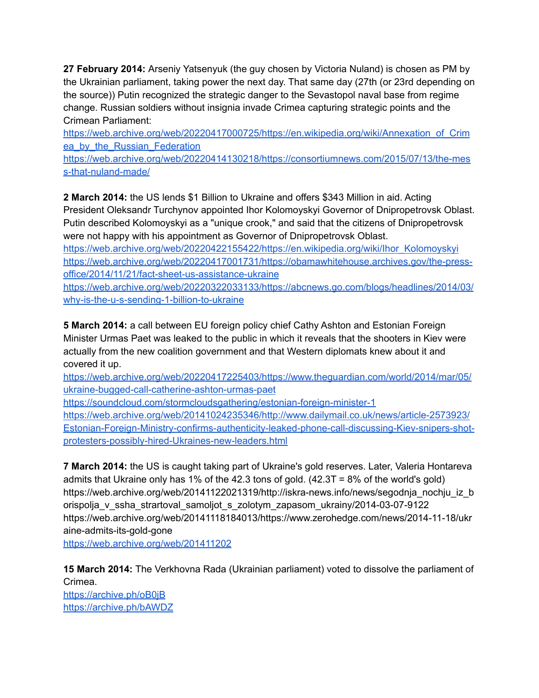**27 February 2014:** Arseniy Yatsenyuk (the guy chosen by Victoria Nuland) is chosen as PM by the Ukrainian parliament, taking power the next day. That same day (27th (or 23rd depending on the source)) Putin recognized the strategic danger to the Sevastopol naval base from regime change. Russian soldiers without insignia invade Crimea capturing strategic points and the Crimean Parliament:

[https://web.archive.org/web/20220417000725/https://en.wikipedia.org/wiki/Annexation\\_of\\_Crim](https://web.archive.org/web/20220417000725/https://en.wikipedia.org/wiki/Annexation_of_Crimea_by_the_Russian_Federation) ea by the Russian Federation

[https://web.archive.org/web/20220414130218/https://consortiumnews.com/2015/07/13/the-mes](https://web.archive.org/web/20220414130218/https://consortiumnews.com/2015/07/13/the-mess-that-nuland-made/) [s-that-nuland-made/](https://web.archive.org/web/20220414130218/https://consortiumnews.com/2015/07/13/the-mess-that-nuland-made/)

**2 March 2014:** the US lends \$1 Billion to Ukraine and offers \$343 Million in aid. Acting President Oleksandr Turchynov appointed Ihor Kolomoyskyi Governor of Dnipropetrovsk Oblast. Putin described Kolomoyskyi as a "unique crook," and said that the citizens of Dnipropetrovsk were not happy with his appointment as Governor of Dnipropetrovsk Oblast.

[https://web.archive.org/web/20220422155422/https://en.wikipedia.org/wiki/Ihor\\_Kolomoyskyi](https://web.archive.org/web/20220422155422/https://en.wikipedia.org/wiki/Ihor_Kolomoyskyi) [https://web.archive.org/web/20220417001731/https://obamawhitehouse.archives.gov/the-press](https://web.archive.org/web/20220417001731/https://obamawhitehouse.archives.gov/the-press-office/2014/11/21/fact-sheet-us-assistance-ukraine)[office/2014/11/21/fact-sheet-us-assistance-ukraine](https://web.archive.org/web/20220417001731/https://obamawhitehouse.archives.gov/the-press-office/2014/11/21/fact-sheet-us-assistance-ukraine)

[https://web.archive.org/web/20220322033133/https://abcnews.go.com/blogs/headlines/2014/03/](https://web.archive.org/web/20220322033133/https://abcnews.go.com/blogs/headlines/2014/03/why-is-the-u-s-sending-1-billion-to-ukraine) [why-is-the-u-s-sending-1-billion-to-ukraine](https://web.archive.org/web/20220322033133/https://abcnews.go.com/blogs/headlines/2014/03/why-is-the-u-s-sending-1-billion-to-ukraine)

**5 March 2014:** a call between EU foreign policy chief Cathy Ashton and Estonian Foreign Minister Urmas Paet was leaked to the public in which it reveals that the shooters in Kiev were actually from the new coalition government and that Western diplomats knew about it and covered it up.

[https://web.archive.org/web/20220417225403/https://www.theguardian.com/world/2014/mar/05/](https://web.archive.org/web/20220417225403/https://www.theguardian.com/world/2014/mar/05/ukraine-bugged-call-catherine-ashton-urmas-paet) [ukraine-bugged-call-catherine-ashton-urmas-paet](https://web.archive.org/web/20220417225403/https://www.theguardian.com/world/2014/mar/05/ukraine-bugged-call-catherine-ashton-urmas-paet)

<https://soundcloud.com/stormcloudsgathering/estonian-foreign-minister-1>

[https://web.archive.org/web/20141024235346/http://www.dailymail.co.uk/news/article-2573923/](https://web.archive.org/web/20141024235346/http://www.dailymail.co.uk/news/article-2573923/Estonian-Foreign-Ministry-confirms-authenticity-leaked-phone-call-discussing-Kiev-snipers-shot-protesters-possibly-hired-Ukraines-new-leaders.html) [Estonian-Foreign-Ministry-confirms-authenticity-leaked-phone-call-discussing-Kiev-snipers-shot](https://web.archive.org/web/20141024235346/http://www.dailymail.co.uk/news/article-2573923/Estonian-Foreign-Ministry-confirms-authenticity-leaked-phone-call-discussing-Kiev-snipers-shot-protesters-possibly-hired-Ukraines-new-leaders.html)[protesters-possibly-hired-Ukraines-new-leaders.html](https://web.archive.org/web/20141024235346/http://www.dailymail.co.uk/news/article-2573923/Estonian-Foreign-Ministry-confirms-authenticity-leaked-phone-call-discussing-Kiev-snipers-shot-protesters-possibly-hired-Ukraines-new-leaders.html)

**7 March 2014:** the US is caught taking part of Ukraine's gold reserves. Later, Valeria Hontareva admits that Ukraine only has 1% of the 42.3 tons of gold. (42.3T = 8% of the world's gold) https://web.archive.org/web/20141122021319/http://iskra-news.info/news/segodnja\_nochju\_iz\_b orispolja\_v\_ssha\_strartoval\_samoljot\_s\_zolotym\_zapasom\_ukrainy/2014-03-07-9122 https://web.archive.org/web/20141118184013/https://www.zerohedge.com/news/2014-11-18/ukr aine-admits-its-gold-gone

<https://web.archive.org/web/201411202>

**15 March 2014:** The Verkhovna Rada (Ukrainian parliament) voted to dissolve the parliament of Crimea. <https://archive.ph/oB0jB> <https://archive.ph/bAWDZ>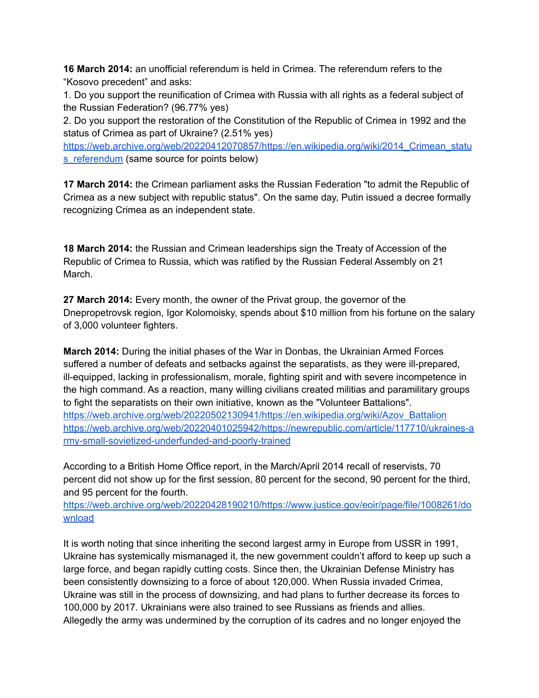**16 March 2014:** an unofficial referendum is held in Crimea. The referendum refers to the "Kosovo precedent" and asks:

1. Do you support the reunification of Crimea with Russia with all rights as a federal subject of the Russian Federation? (96.77% yes)

2. Do you support the restoration of the Constitution of the Republic of Crimea in 1992 and the status of Crimea as part of Ukraine? (2.51% yes)

[https://web.archive.org/web/20220412070857/https://en.wikipedia.org/wiki/2014\\_Crimean\\_statu](https://web.archive.org/web/20220412070857/https://en.wikipedia.org/wiki/2014_Crimean_status_referendum) [s\\_referendum](https://web.archive.org/web/20220412070857/https://en.wikipedia.org/wiki/2014_Crimean_status_referendum) (same source for points below)

**17 March 2014:** the Crimean parliament asks the Russian Federation "to admit the Republic of Crimea as a new subject with republic status". On the same day, Putin issued a decree formally recognizing Crimea as an independent state.

**18 March 2014:** the Russian and Crimean leaderships sign the Treaty of Accession of the Republic of Crimea to Russia, which was ratified by the Russian Federal Assembly on 21 March.

**27 March 2014:** Every month, the owner of the Privat group, the governor of the Dnepropetrovsk region, Igor Kolomoisky, spends about \$10 million from his fortune on the salary of 3,000 volunteer fighters.

**March 2014:** During the initial phases of the War in Donbas, the Ukrainian Armed Forces suffered a number of defeats and setbacks against the separatists, as they were ill-prepared, ill-equipped, lacking in professionalism, morale, fighting spirit and with severe incompetence in the high command. As a reaction, many willing civilians created militias and paramilitary groups to fight the separatists on their own initiative, known as the "Volunteer Battalions". [https://web.archive.org/web/20220502130941/https://en.wikipedia.org/wiki/Azov\\_Battalion](https://web.archive.org/web/20220502130941/https://en.wikipedia.org/wiki/Azov_Battalion) [https://web.archive.org/web/20220401025942/https://newrepublic.com/article/117710/ukraines-a](https://web.archive.org/web/20220401025942/https://newrepublic.com/article/117710/ukraines-army-small-sovietized-underfunded-and-poorly-trained) [rmy-small-sovietized-underfunded-and-poorly-trained](https://web.archive.org/web/20220401025942/https://newrepublic.com/article/117710/ukraines-army-small-sovietized-underfunded-and-poorly-trained)

According to a British Home Office report, in the March/April 2014 recall of reservists, 70 percent did not show up for the first session, 80 percent for the second, 90 percent for the third, and 95 percent for the fourth.

[https://web.archive.org/web/20220428190210/https://www.justice.gov/eoir/page/file/1008261/do](https://web.archive.org/web/20220428190210/https://www.justice.gov/eoir/page/file/1008261/download) [wnload](https://web.archive.org/web/20220428190210/https://www.justice.gov/eoir/page/file/1008261/download)

It is worth noting that since inheriting the second largest army in Europe from USSR in 1991, Ukraine has systemically mismanaged it, the new government couldn't afford to keep up such a large force, and began rapidly cutting costs. Since then, the Ukrainian Defense Ministry has been consistently downsizing to a force of about 120,000. When Russia invaded Crimea, Ukraine was still in the process of downsizing, and had plans to further decrease its forces to 100,000 by 2017. Ukrainians were also trained to see Russians as friends and allies. Allegedly the army was undermined by the corruption of its cadres and no longer enjoyed the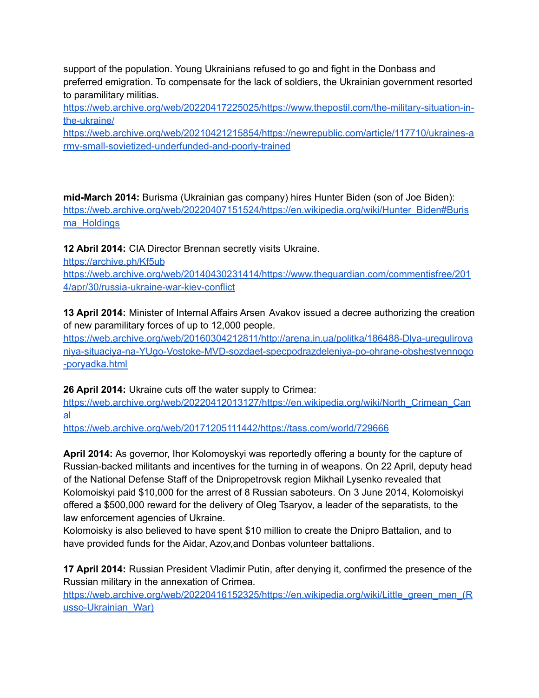support of the population. Young Ukrainians refused to go and fight in the Donbass and preferred emigration. To compensate for the lack of soldiers, the Ukrainian government resorted to paramilitary militias.

[https://web.archive.org/web/20220417225025/https://www.thepostil.com/the-military-situation-in](https://web.archive.org/web/20220417225025/https://www.thepostil.com/the-military-situation-in-the-ukraine/)[the-ukraine/](https://web.archive.org/web/20220417225025/https://www.thepostil.com/the-military-situation-in-the-ukraine/)

[https://web.archive.org/web/20210421215854/https://newrepublic.com/article/117710/ukraines-a](https://web.archive.org/web/20210421215854/https://newrepublic.com/article/117710/ukraines-army-small-sovietized-underfunded-and-poorly-trained) [rmy-small-sovietized-underfunded-and-poorly-trained](https://web.archive.org/web/20210421215854/https://newrepublic.com/article/117710/ukraines-army-small-sovietized-underfunded-and-poorly-trained)

**mid-March 2014:** Burisma (Ukrainian gas company) hires Hunter Biden (son of Joe Biden): [https://web.archive.org/web/20220407151524/https://en.wikipedia.org/wiki/Hunter\\_Biden#Buris](https://web.archive.org/web/20220407151524/https://en.wikipedia.org/wiki/Hunter_Biden#Burisma_Holdings) [ma\\_Holdings](https://web.archive.org/web/20220407151524/https://en.wikipedia.org/wiki/Hunter_Biden#Burisma_Holdings)

**12 Abril 2014:** CIA Director Brennan secretly visits Ukraine.

<https://archive.ph/Kf5ub>

[https://web.archive.org/web/20140430231414/https://www.theguardian.com/commentisfree/201](https://web.archive.org/web/20140430231414/https://www.theguardian.com/commentisfree/2014/apr/30/russia-ukraine-war-kiev-conflict) [4/apr/30/russia-ukraine-war-kiev-conflict](https://web.archive.org/web/20140430231414/https://www.theguardian.com/commentisfree/2014/apr/30/russia-ukraine-war-kiev-conflict)

**13 April 2014:** Minister of Internal Affairs Arsen Avakov issued a decree authorizing the creation of new paramilitary forces of up to 12,000 people.

[https://web.archive.org/web/20160304212811/http://arena.in.ua/politka/186488-Dlya-uregulirova](https://web.archive.org/web/20160304212811/http://arena.in.ua/politka/186488-Dlya-uregulirovaniya-situaciya-na-YUgo-Vostoke-MVD-sozdaet-specpodrazdeleniya-po-ohrane-obshestvennogo-poryadka.html) [niya-situaciya-na-YUgo-Vostoke-MVD-sozdaet-specpodrazdeleniya-po-ohrane-obshestvennogo](https://web.archive.org/web/20160304212811/http://arena.in.ua/politka/186488-Dlya-uregulirovaniya-situaciya-na-YUgo-Vostoke-MVD-sozdaet-specpodrazdeleniya-po-ohrane-obshestvennogo-poryadka.html) [-poryadka.html](https://web.archive.org/web/20160304212811/http://arena.in.ua/politka/186488-Dlya-uregulirovaniya-situaciya-na-YUgo-Vostoke-MVD-sozdaet-specpodrazdeleniya-po-ohrane-obshestvennogo-poryadka.html)

**26 April 2014:** Ukraine cuts off the water supply to Crimea:

[https://web.archive.org/web/20220412013127/https://en.wikipedia.org/wiki/North\\_Crimean\\_Can](https://web.archive.org/web/20220412013127/https://en.wikipedia.org/wiki/North_Crimean_Canal) [al](https://web.archive.org/web/20220412013127/https://en.wikipedia.org/wiki/North_Crimean_Canal)

<https://web.archive.org/web/20171205111442/https://tass.com/world/729666>

**April 2014:** As governor, Ihor Kolomoyskyi was reportedly offering a bounty for the capture of Russian-backed militants and incentives for the turning in of weapons. On 22 April, deputy head of the National Defense Staff of the Dnipropetrovsk region Mikhail Lysenko revealed that Kolomoiskyi paid \$10,000 for the arrest of 8 Russian saboteurs. On 3 June 2014, Kolomoiskyi offered a \$500,000 reward for the delivery of Oleg Tsaryov, a leader of the separatists, to the law enforcement agencies of Ukraine.

Kolomoisky is also believed to have spent \$10 million to create the Dnipro Battalion, and to have provided funds for the Aidar, Azov,and Donbas volunteer battalions.

**17 April 2014:** Russian President Vladimir Putin, after denying it, confirmed the presence of the Russian military in the annexation of Crimea.

[https://web.archive.org/web/20220416152325/https://en.wikipedia.org/wiki/Little\\_green\\_men\\_\(R](https://web.archive.org/web/20220416152325/https://en.wikipedia.org/wiki/Little_green_men_(Russo-Ukrainian_War)) [usso-Ukrainian\\_War\)](https://web.archive.org/web/20220416152325/https://en.wikipedia.org/wiki/Little_green_men_(Russo-Ukrainian_War))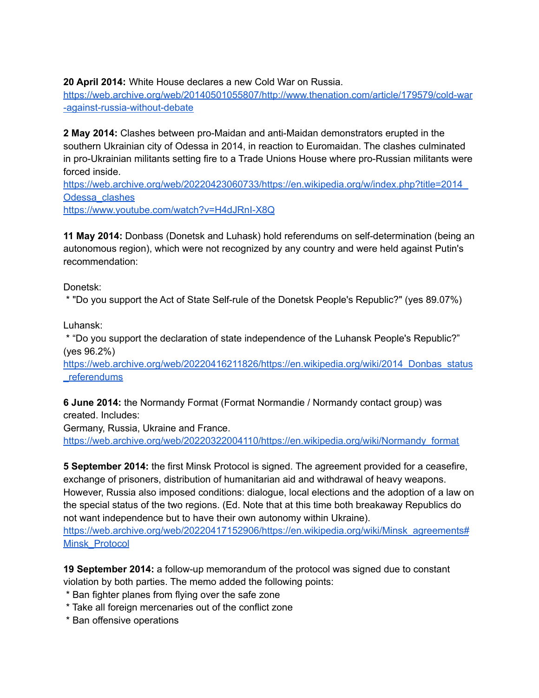**20 April 2014:** White House declares a new Cold War on Russia.

[https://web.archive.org/web/20140501055807/http://www.thenation.com/article/179579/cold-war](https://web.archive.org/web/20140501055807/http://www.thenation.com/article/179579/cold-war-against-russia-without-debate) [-against-russia-without-debate](https://web.archive.org/web/20140501055807/http://www.thenation.com/article/179579/cold-war-against-russia-without-debate)

**2 May 2014:** Clashes between pro-Maidan and anti-Maidan demonstrators erupted in the southern Ukrainian city of Odessa in 2014, in reaction to Euromaidan. The clashes culminated in pro-Ukrainian militants setting fire to a Trade Unions House where pro-Russian militants were forced inside.

[https://web.archive.org/web/20220423060733/https://en.wikipedia.org/w/index.php?title=2014\\_](https://web.archive.org/web/20220423060733/https://en.wikipedia.org/w/index.php?title=2014_Odessa_clashes) [Odessa\\_clashes](https://web.archive.org/web/20220423060733/https://en.wikipedia.org/w/index.php?title=2014_Odessa_clashes)

<https://www.youtube.com/watch?v=H4dJRnI-X8Q>

**11 May 2014:** Donbass (Donetsk and Luhask) hold referendums on self-determination (being an autonomous region), which were not recognized by any country and were held against Putin's recommendation:

Donetsk:

\* "Do you support the Act of State Self-rule of the Donetsk People's Republic?" (yes 89.07%)

Luhansk:

\* "Do you support the declaration of state independence of the Luhansk People's Republic?" (yes 96.2%)

[https://web.archive.org/web/20220416211826/https://en.wikipedia.org/wiki/2014\\_Donbas\\_status](https://web.archive.org/web/20220416211826/https://en.wikipedia.org/wiki/2014_Donbas_status_referendums) referendums

**6 June 2014:** the Normandy Format (Format Normandie / Normandy contact group) was created. Includes:

Germany, Russia, Ukraine and France.

[https://web.archive.org/web/20220322004110/https://en.wikipedia.org/wiki/Normandy\\_format](https://web.archive.org/web/20220322004110/https://en.wikipedia.org/wiki/Normandy_format)

**5 September 2014:** the first Minsk Protocol is signed. The agreement provided for a ceasefire, exchange of prisoners, distribution of humanitarian aid and withdrawal of heavy weapons. However, Russia also imposed conditions: dialogue, local elections and the adoption of a law on the special status of the two regions. (Ed. Note that at this time both breakaway Republics do not want independence but to have their own autonomy within Ukraine).

[https://web.archive.org/web/20220417152906/https://en.wikipedia.org/wiki/Minsk\\_agreements#](https://web.archive.org/web/20220417152906/https://en.wikipedia.org/wiki/Minsk_agreements#Minsk_Protocol) [Minsk\\_Protocol](https://web.archive.org/web/20220417152906/https://en.wikipedia.org/wiki/Minsk_agreements#Minsk_Protocol)

**19 September 2014:** a follow-up memorandum of the protocol was signed due to constant violation by both parties. The memo added the following points:

- \* Ban fighter planes from flying over the safe zone
- \* Take all foreign mercenaries out of the conflict zone
- \* Ban offensive operations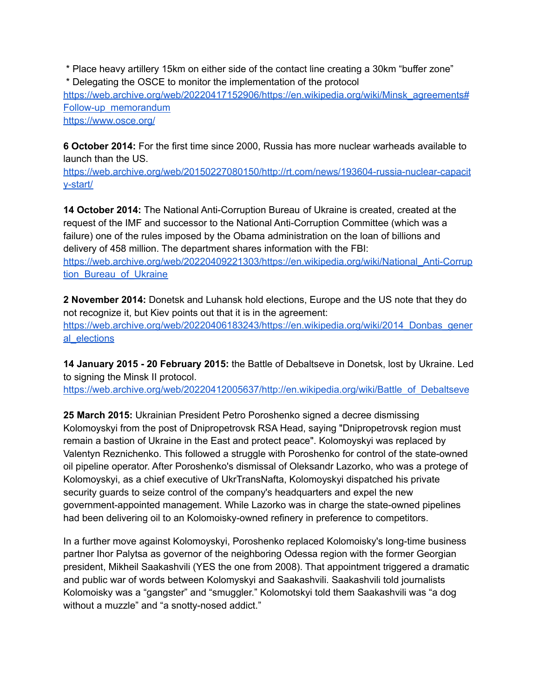\* Place heavy artillery 15km on either side of the contact line creating a 30km "buffer zone" \* Delegating the OSCE to monitor the implementation of the protocol [https://web.archive.org/web/20220417152906/https://en.wikipedia.org/wiki/Minsk\\_agreements#](https://web.archive.org/web/20220417152906/https://en.wikipedia.org/wiki/Minsk_agreements#Follow-up_memorandum) [Follow-up\\_memorandum](https://web.archive.org/web/20220417152906/https://en.wikipedia.org/wiki/Minsk_agreements#Follow-up_memorandum) <https://www.osce.org/>

**6 October 2014:** For the first time since 2000, Russia has more nuclear warheads available to launch than the US.

[https://web.archive.org/web/20150227080150/http://rt.com/news/193604-russia-nuclear-capacit](https://web.archive.org/web/20150227080150/http://rt.com/news/193604-russia-nuclear-capacity-start/) [y-start/](https://web.archive.org/web/20150227080150/http://rt.com/news/193604-russia-nuclear-capacity-start/)

**14 October 2014:** The National Anti-Corruption Bureau of Ukraine is created, created at the request of the IMF and successor to the National Anti-Corruption Committee (which was a failure) one of the rules imposed by the Obama administration on the loan of billions and delivery of 458 million. The department shares information with the FBI: [https://web.archive.org/web/20220409221303/https://en.wikipedia.org/wiki/National\\_Anti-Corrup](https://web.archive.org/web/20220409221303/https://en.wikipedia.org/wiki/National_Anti-Corruption_Bureau_of_Ukraine) tion Bureau of Ukraine

**2 November 2014:** Donetsk and Luhansk hold elections, Europe and the US note that they do not recognize it, but Kiev points out that it is in the agreement: [https://web.archive.org/web/20220406183243/https://en.wikipedia.org/wiki/2014\\_Donbas\\_gener](https://web.archive.org/web/20220406183243/https://en.wikipedia.org/wiki/2014_Donbas_general_elections) al elections

**14 January 2015 - 20 February 2015:** the Battle of Debaltseve in Donetsk, lost by Ukraine. Led to signing the Minsk II protocol.

[https://web.archive.org/web/20220412005637/http://en.wikipedia.org/wiki/Battle\\_of\\_Debaltseve](https://web.archive.org/web/20220412005637/http://en.wikipedia.org/wiki/Battle_of_Debaltseve)

**25 March 2015:** Ukrainian President Petro Poroshenko signed a decree dismissing Kolomoyskyi from the post of Dnipropetrovsk RSA Head, saying "Dnipropetrovsk region must remain a bastion of Ukraine in the East and protect peace". Kolomoyskyi was replaced by Valentyn Reznichenko. This followed a struggle with Poroshenko for control of the state-owned oil pipeline operator. After Poroshenko's dismissal of Oleksandr Lazorko, who was a protege of Kolomoyskyi, as a chief executive of UkrTransNafta, Kolomoyskyi dispatched his private security guards to seize control of the company's headquarters and expel the new government-appointed management. While Lazorko was in charge the state-owned pipelines had been delivering oil to an Kolomoisky-owned refinery in preference to competitors.

In a further move against Kolomoyskyi, Poroshenko replaced Kolomoisky's long-time business partner Ihor Palytsa as governor of the neighboring Odessa region with the former Georgian president, Mikheil Saakashvili (YES the one from 2008). That appointment triggered a dramatic and public war of words between Kolomyskyi and Saakashvili. Saakashvili told journalists Kolomoisky was a "gangster" and "smuggler." Kolomotskyi told them Saakashvili was "a dog without a muzzle" and "a snotty-nosed addict."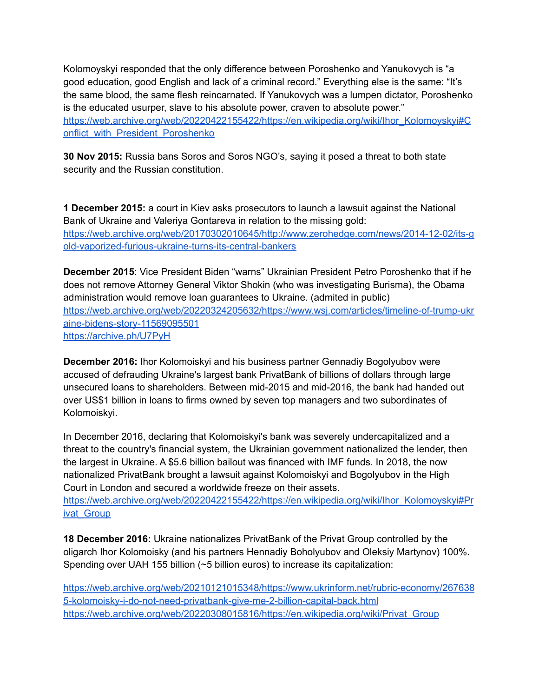Kolomoyskyi responded that the only difference between Poroshenko and Yanukovych is "a good education, good English and lack of a criminal record." Everything else is the same: "It's the same blood, the same flesh reincarnated. If Yanukovych was a lumpen dictator, Poroshenko is the educated usurper, slave to his absolute power, craven to absolute power." [https://web.archive.org/web/20220422155422/https://en.wikipedia.org/wiki/Ihor\\_Kolomoyskyi#C](https://web.archive.org/web/20220422155422/https://en.wikipedia.org/wiki/Ihor_Kolomoyskyi#Conflict_with_President_Poroshenko) [onflict\\_with\\_President\\_Poroshenko](https://web.archive.org/web/20220422155422/https://en.wikipedia.org/wiki/Ihor_Kolomoyskyi#Conflict_with_President_Poroshenko)

**30 Nov 2015:** Russia bans Soros and Soros NGO's, saying it posed a threat to both state security and the Russian constitution.

**1 December 2015:** a court in Kiev asks prosecutors to launch a lawsuit against the National Bank of Ukraine and Valeriya Gontareva in relation to the missing gold: [https://web.archive.org/web/20170302010645/http://www.zerohedge.com/news/2014-12-02/its-g](https://web.archive.org/web/20170302010645/http://www.zerohedge.com/news/2014-12-02/its-gold-vaporized-furious-ukraine-turns-its-central-bankers) [old-vaporized-furious-ukraine-turns-its-central-bankers](https://web.archive.org/web/20170302010645/http://www.zerohedge.com/news/2014-12-02/its-gold-vaporized-furious-ukraine-turns-its-central-bankers)

**December 2015**: Vice President Biden "warns" Ukrainian President Petro Poroshenko that if he does not remove Attorney General Viktor Shokin (who was investigating Burisma), the Obama administration would remove loan guarantees to Ukraine. (admited in public) [https://web.archive.org/web/20220324205632/https://www.wsj.com/articles/timeline-of-trump-ukr](https://web.archive.org/web/20220324205632/https://www.wsj.com/articles/timeline-of-trump-ukraine-bidens-story-11569095501) [aine-bidens-story-11569095501](https://web.archive.org/web/20220324205632/https://www.wsj.com/articles/timeline-of-trump-ukraine-bidens-story-11569095501) <https://archive.ph/U7PyH>

**December 2016:** Ihor Kolomoiskyi and his business partner Gennadiy Bogolyubov were accused of defrauding Ukraine's largest bank PrivatBank of billions of dollars through large unsecured loans to shareholders. Between mid-2015 and mid-2016, the bank had handed out over US\$1 billion in loans to firms owned by seven top managers and two subordinates of Kolomoiskyi.

In December 2016, declaring that Kolomoiskyi's bank was severely undercapitalized and a threat to the country's financial system, the Ukrainian government nationalized the lender, then the largest in Ukraine. A \$5.6 billion bailout was financed with IMF funds. In 2018, the now nationalized PrivatBank brought a lawsuit against Kolomoiskyi and Bogolyubov in the High Court in London and secured a worldwide freeze on their assets.

[https://web.archive.org/web/20220422155422/https://en.wikipedia.org/wiki/Ihor\\_Kolomoyskyi#Pr](https://web.archive.org/web/20220422155422/https://en.wikipedia.org/wiki/Ihor_Kolomoyskyi#Privat_Group) ivat Group

**18 December 2016:** Ukraine nationalizes PrivatBank of the Privat Group controlled by the oligarch Ihor Kolomoisky (and his partners Hennadiy Boholyubov and Oleksiy Martynov) 100%. Spending over UAH 155 billion (~5 billion euros) to increase its capitalization:

[https://web.archive.org/web/20210121015348/https://www.ukrinform.net/rubric-economy/267638](https://web.archive.org/web/20210121015348/https://www.ukrinform.net/rubric-economy/2676385-kolomoisky-i-do-not-need-privatbank-give-me-2-billion-capital-back.html) [5-kolomoisky-i-do-not-need-privatbank-give-me-2-billion-capital-back.html](https://web.archive.org/web/20210121015348/https://www.ukrinform.net/rubric-economy/2676385-kolomoisky-i-do-not-need-privatbank-give-me-2-billion-capital-back.html) [https://web.archive.org/web/20220308015816/https://en.wikipedia.org/wiki/Privat\\_Group](https://web.archive.org/web/20220308015816/https://en.wikipedia.org/wiki/Privat_Group)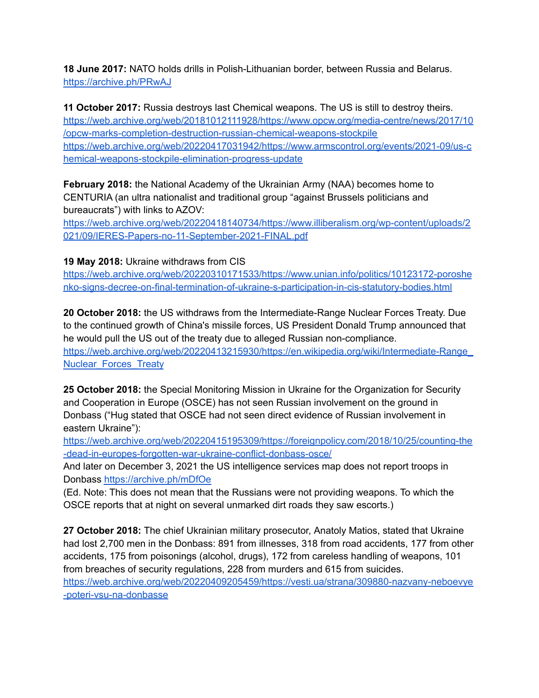**18 June 2017:** NATO holds drills in Polish-Lithuanian border, between Russia and Belarus. <https://archive.ph/PRwAJ>

**11 October 2017:** Russia destroys last Chemical weapons. The US is still to destroy theirs. [https://web.archive.org/web/20181012111928/https://www.opcw.org/media-centre/news/2017/10](https://web.archive.org/web/20181012111928/https://www.opcw.org/media-centre/news/2017/10/opcw-marks-completion-destruction-russian-chemical-weapons-stockpile) [/opcw-marks-completion-destruction-russian-chemical-weapons-stockpile](https://web.archive.org/web/20181012111928/https://www.opcw.org/media-centre/news/2017/10/opcw-marks-completion-destruction-russian-chemical-weapons-stockpile) [https://web.archive.org/web/20220417031942/https://www.armscontrol.org/events/2021-09/us-c](https://web.archive.org/web/20220417031942/https://www.armscontrol.org/events/2021-09/us-chemical-weapons-stockpile-elimination-progress-update) [hemical-weapons-stockpile-elimination-progress-update](https://web.archive.org/web/20220417031942/https://www.armscontrol.org/events/2021-09/us-chemical-weapons-stockpile-elimination-progress-update)

**February 2018:** the National Academy of the Ukrainian Army (NAA) becomes home to CENTURIA (an ultra nationalist and traditional group "against Brussels politicians and bureaucrats") with links to AZOV:

[https://web.archive.org/web/20220418140734/https://www.illiberalism.org/wp-content/uploads/2](https://web.archive.org/web/20220418140734/https://www.illiberalism.org/wp-content/uploads/2021/09/IERES-Papers-no-11-September-2021-FINAL.pdf) [021/09/IERES-Papers-no-11-September-2021-FINAL.pdf](https://web.archive.org/web/20220418140734/https://www.illiberalism.org/wp-content/uploads/2021/09/IERES-Papers-no-11-September-2021-FINAL.pdf)

## **19 May 2018:** Ukraine withdraws from CIS

[https://web.archive.org/web/20220310171533/https://www.unian.info/politics/10123172-poroshe](https://web.archive.org/web/20220310171533/https://www.unian.info/politics/10123172-poroshenko-signs-decree-on-final-termination-of-ukraine-s-participation-in-cis-statutory-bodies.html) [nko-signs-decree-on-final-termination-of-ukraine-s-participation-in-cis-statutory-bodies.html](https://web.archive.org/web/20220310171533/https://www.unian.info/politics/10123172-poroshenko-signs-decree-on-final-termination-of-ukraine-s-participation-in-cis-statutory-bodies.html)

**20 October 2018:** the US withdraws from the Intermediate-Range Nuclear Forces Treaty. Due to the continued growth of China's missile forces, US President Donald Trump announced that he would pull the US out of the treaty due to alleged Russian non-compliance. [https://web.archive.org/web/20220413215930/https://en.wikipedia.org/wiki/Intermediate-Range\\_](https://web.archive.org/web/20220413215930/https://en.wikipedia.org/wiki/Intermediate-Range_Nuclear_Forces_Treaty) [Nuclear\\_Forces\\_Treaty](https://web.archive.org/web/20220413215930/https://en.wikipedia.org/wiki/Intermediate-Range_Nuclear_Forces_Treaty)

**25 October 2018:** the Special Monitoring Mission in Ukraine for the Organization for Security and Cooperation in Europe (OSCE) has not seen Russian involvement on the ground in Donbass ("Hug stated that OSCE had not seen direct evidence of Russian involvement in eastern Ukraine"):

[https://web.archive.org/web/20220415195309/https://foreignpolicy.com/2018/10/25/counting-the](https://web.archive.org/web/20220415195309/https://foreignpolicy.com/2018/10/25/counting-the-dead-in-europes-forgotten-war-ukraine-conflict-donbass-osce/) [-dead-in-europes-forgotten-war-ukraine-conflict-donbass-osce/](https://web.archive.org/web/20220415195309/https://foreignpolicy.com/2018/10/25/counting-the-dead-in-europes-forgotten-war-ukraine-conflict-donbass-osce/)

And later on December 3, 2021 the US intelligence services map does not report troops in Donbass <https://archive.ph/mDfOe>

(Ed. Note: This does not mean that the Russians were not providing weapons. To which the OSCE reports that at night on several unmarked dirt roads they saw escorts.)

**27 October 2018:** The chief Ukrainian military prosecutor, Anatoly Matios, stated that Ukraine had lost 2,700 men in the Donbass: 891 from illnesses, 318 from road accidents, 177 from other accidents, 175 from poisonings (alcohol, drugs), 172 from careless handling of weapons, 101 from breaches of security regulations, 228 from murders and 615 from suicides. [https://web.archive.org/web/20220409205459/https://vesti.ua/strana/309880-nazvany-neboevye](https://web.archive.org/web/20220409205459/https://vesti.ua/strana/309880-nazvany-neboevye-poteri-vsu-na-donbasse) [-poteri-vsu-na-donbasse](https://web.archive.org/web/20220409205459/https://vesti.ua/strana/309880-nazvany-neboevye-poteri-vsu-na-donbasse)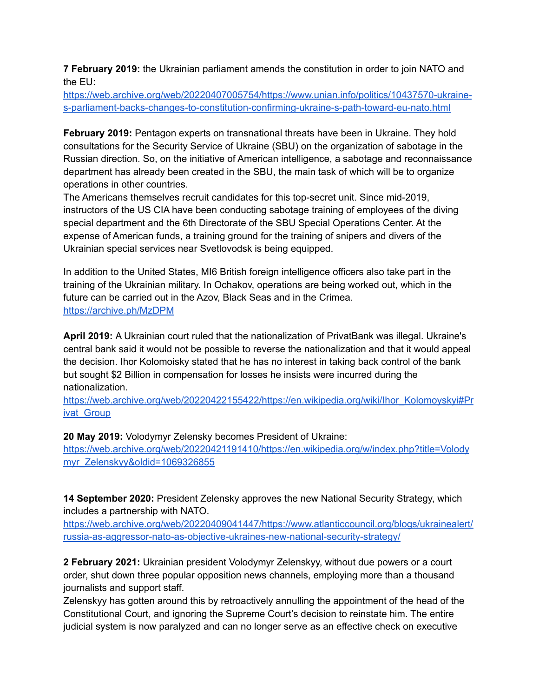**7 February 2019:** the Ukrainian parliament amends the constitution in order to join NATO and the EU:

[https://web.archive.org/web/20220407005754/https://www.unian.info/politics/10437570-ukraine](https://web.archive.org/web/20220407005754/https://www.unian.info/politics/10437570-ukraine-s-parliament-backs-changes-to-constitution-confirming-ukraine-s-path-toward-eu-nato.html)[s-parliament-backs-changes-to-constitution-confirming-ukraine-s-path-toward-eu-nato.html](https://web.archive.org/web/20220407005754/https://www.unian.info/politics/10437570-ukraine-s-parliament-backs-changes-to-constitution-confirming-ukraine-s-path-toward-eu-nato.html)

**February 2019:** Pentagon experts on transnational threats have been in Ukraine. They hold consultations for the Security Service of Ukraine (SBU) on the organization of sabotage in the Russian direction. So, on the initiative of American intelligence, a sabotage and reconnaissance department has already been created in the SBU, the main task of which will be to organize operations in other countries.

The Americans themselves recruit candidates for this top-secret unit. Since mid-2019, instructors of the US CIA have been conducting sabotage training of employees of the diving special department and the 6th Directorate of the SBU Special Operations Center. At the expense of American funds, a training ground for the training of snipers and divers of the Ukrainian special services near Svetlovodsk is being equipped.

In addition to the United States, MI6 British foreign intelligence officers also take part in the training of the Ukrainian military. In Ochakov, operations are being worked out, which in the future can be carried out in the Azov, Black Seas and in the Crimea. <https://archive.ph/MzDPM>

**April 2019:** A Ukrainian court ruled that the nationalization of PrivatBank was illegal. Ukraine's central bank said it would not be possible to reverse the nationalization and that it would appeal the decision. Ihor Kolomoisky stated that he has no interest in taking back control of the bank but sought \$2 Billion in compensation for losses he insists were incurred during the nationalization.

[https://web.archive.org/web/20220422155422/https://en.wikipedia.org/wiki/Ihor\\_Kolomoyskyi#Pr](https://web.archive.org/web/20220422155422/https://en.wikipedia.org/wiki/Ihor_Kolomoyskyi#Privat_Group) ivat Group

**20 May 2019:** Volodymyr Zelensky becomes President of Ukraine:

[https://web.archive.org/web/20220421191410/https://en.wikipedia.org/w/index.php?title=Volody](https://web.archive.org/web/20220421191410/https://en.wikipedia.org/w/index.php?title=Volodymyr_Zelenskyy&oldid=1069326855) [myr\\_Zelenskyy&oldid=1069326855](https://web.archive.org/web/20220421191410/https://en.wikipedia.org/w/index.php?title=Volodymyr_Zelenskyy&oldid=1069326855)

**14 September 2020:** President Zelensky approves the new National Security Strategy, which includes a partnership with NATO.

[https://web.archive.org/web/20220409041447/https://www.atlanticcouncil.org/blogs/ukrainealert/](https://web.archive.org/web/20220409041447/https://www.atlanticcouncil.org/blogs/ukrainealert/russia-as-aggressor-nato-as-objective-ukraines-new-national-security-strategy/) [russia-as-aggressor-nato-as-objective-ukraines-new-national-security-strategy/](https://web.archive.org/web/20220409041447/https://www.atlanticcouncil.org/blogs/ukrainealert/russia-as-aggressor-nato-as-objective-ukraines-new-national-security-strategy/)

**2 February 2021:** Ukrainian president Volodymyr Zelenskyy, without due powers or a court order, shut down three popular opposition news channels, employing more than a thousand journalists and support staff.

Zelenskyy has gotten around this by retroactively annulling the appointment of the head of the Constitutional Court, and ignoring the Supreme Court's decision to reinstate him. The entire judicial system is now paralyzed and can no longer serve as an effective check on executive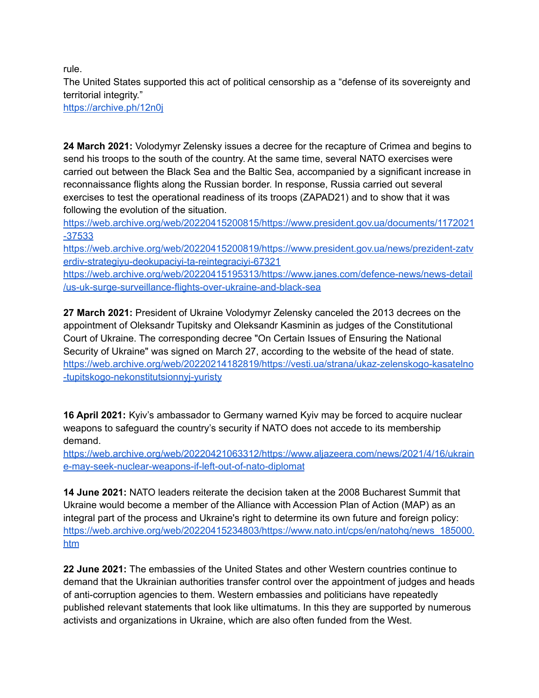rule.

The United States supported this act of political censorship as a "defense of its sovereignty and territorial integrity."

<https://archive.ph/12n0j>

**24 March 2021:** Volodymyr Zelensky issues a decree for the recapture of Crimea and begins to send his troops to the south of the country. At the same time, several NATO exercises were carried out between the Black Sea and the Baltic Sea, accompanied by a significant increase in reconnaissance flights along the Russian border. In response, Russia carried out several exercises to test the operational readiness of its troops (ZAPAD21) and to show that it was following the evolution of the situation.

[https://web.archive.org/web/20220415200815/https://www.president.gov.ua/documents/1172021](https://web.archive.org/web/20220415200815/https://www.president.gov.ua/documents/1172021-37533) [-37533](https://web.archive.org/web/20220415200815/https://www.president.gov.ua/documents/1172021-37533)

[https://web.archive.org/web/20220415200819/https://www.president.gov.ua/news/prezident-zatv](https://web.archive.org/web/20220415200819/https://www.president.gov.ua/news/prezident-zatverdiv-strategiyu-deokupaciyi-ta-reintegraciyi-67321) [erdiv-strategiyu-deokupaciyi-ta-reintegraciyi-67321](https://web.archive.org/web/20220415200819/https://www.president.gov.ua/news/prezident-zatverdiv-strategiyu-deokupaciyi-ta-reintegraciyi-67321)

[https://web.archive.org/web/20220415195313/https://www.janes.com/defence-news/news-detail](https://web.archive.org/web/20220415195313/https://www.janes.com/defence-news/news-detail/us-uk-surge-surveillance-flights-over-ukraine-and-black-sea) [/us-uk-surge-surveillance-flights-over-ukraine-and-black-sea](https://web.archive.org/web/20220415195313/https://www.janes.com/defence-news/news-detail/us-uk-surge-surveillance-flights-over-ukraine-and-black-sea)

**27 March 2021:** President of Ukraine Volodymyr Zelensky canceled the 2013 decrees on the appointment of Oleksandr Tupitsky and Oleksandr Kasminin as judges of the Constitutional Court of Ukraine. The corresponding decree "On Certain Issues of Ensuring the National Security of Ukraine" was signed on March 27, according to the website of the head of state. [https://web.archive.org/web/20220214182819/https://vesti.ua/strana/ukaz-zelenskogo-kasatelno](https://web.archive.org/web/20220214182819/https://vesti.ua/strana/ukaz-zelenskogo-kasatelno-tupitskogo-nekonstitutsionnyj-yuristy) [-tupitskogo-nekonstitutsionnyj-yuristy](https://web.archive.org/web/20220214182819/https://vesti.ua/strana/ukaz-zelenskogo-kasatelno-tupitskogo-nekonstitutsionnyj-yuristy)

**16 April 2021:** Kyiv's ambassador to Germany warned Kyiv may be forced to acquire nuclear weapons to safeguard the country's security if NATO does not accede to its membership demand.

[https://web.archive.org/web/20220421063312/https://www.aljazeera.com/news/2021/4/16/ukrain](https://web.archive.org/web/20220421063312/https://www.aljazeera.com/news/2021/4/16/ukraine-may-seek-nuclear-weapons-if-left-out-of-nato-diplomat) [e-may-seek-nuclear-weapons-if-left-out-of-nato-diplomat](https://web.archive.org/web/20220421063312/https://www.aljazeera.com/news/2021/4/16/ukraine-may-seek-nuclear-weapons-if-left-out-of-nato-diplomat)

**14 June 2021:** NATO leaders reiterate the decision taken at the 2008 Bucharest Summit that Ukraine would become a member of the Alliance with Accession Plan of Action (MAP) as an integral part of the process and Ukraine's right to determine its own future and foreign policy: [https://web.archive.org/web/20220415234803/https://www.nato.int/cps/en/natohq/news\\_185000.](https://web.archive.org/web/20220415234803/https://www.nato.int/cps/en/natohq/news_185000.htm) [htm](https://web.archive.org/web/20220415234803/https://www.nato.int/cps/en/natohq/news_185000.htm)

**22 June 2021:** The embassies of the United States and other Western countries continue to demand that the Ukrainian authorities transfer control over the appointment of judges and heads of anti-corruption agencies to them. Western embassies and politicians have repeatedly published relevant statements that look like ultimatums. In this they are supported by numerous activists and organizations in Ukraine, which are also often funded from the West.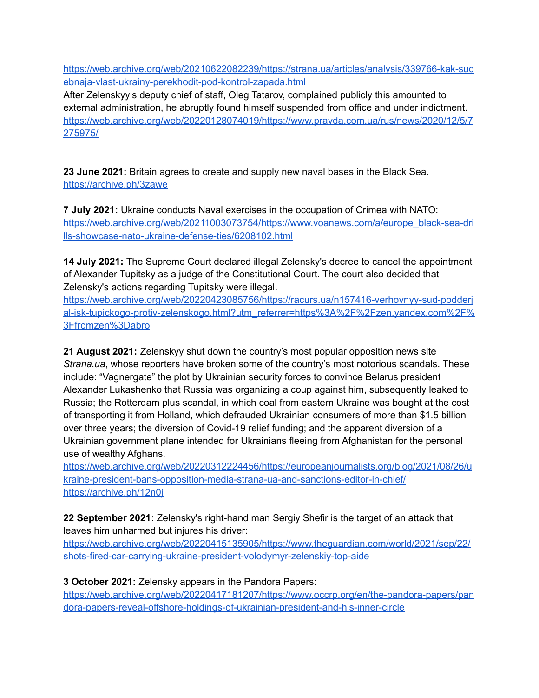[https://web.archive.org/web/20210622082239/https://strana.ua/articles/analysis/339766-kak-sud](https://web.archive.org/web/20210622082239/https://strana.ua/articles/analysis/339766-kak-sudebnaja-vlast-ukrainy-perekhodit-pod-kontrol-zapada.html) [ebnaja-vlast-ukrainy-perekhodit-pod-kontrol-zapada.html](https://web.archive.org/web/20210622082239/https://strana.ua/articles/analysis/339766-kak-sudebnaja-vlast-ukrainy-perekhodit-pod-kontrol-zapada.html)

After Zelenskyy's deputy chief of staff, Oleg Tatarov, complained publicly this amounted to external administration, he abruptly found himself suspended from office and under indictment. [https://web.archive.org/web/20220128074019/https://www.pravda.com.ua/rus/news/2020/12/5/7](https://web.archive.org/web/20220128074019/https://www.pravda.com.ua/rus/news/2020/12/5/7275975/) [275975/](https://web.archive.org/web/20220128074019/https://www.pravda.com.ua/rus/news/2020/12/5/7275975/)

**23 June 2021:** Britain agrees to create and supply new naval bases in the Black Sea. <https://archive.ph/3zawe>

**7 July 2021:** Ukraine conducts Naval exercises in the occupation of Crimea with NATO: [https://web.archive.org/web/20211003073754/https://www.voanews.com/a/europe\\_black-sea-dri](https://web.archive.org/web/20211003073754/https://www.voanews.com/a/europe_black-sea-drills-showcase-nato-ukraine-defense-ties/6208102.html) [lls-showcase-nato-ukraine-defense-ties/6208102.html](https://web.archive.org/web/20211003073754/https://www.voanews.com/a/europe_black-sea-drills-showcase-nato-ukraine-defense-ties/6208102.html)

**14 July 2021:** The Supreme Court declared illegal Zelensky's decree to cancel the appointment of Alexander Tupitsky as a judge of the Constitutional Court. The court also decided that Zelensky's actions regarding Tupitsky were illegal.

[https://web.archive.org/web/20220423085756/https://racurs.ua/n157416-verhovnyy-sud-podderj](https://web.archive.org/web/20220423085756/https://racurs.ua/n157416-verhovnyy-sud-podderjal-isk-tupickogo-protiv-zelenskogo.html?utm_referrer=https%3A%2F%2Fzen.yandex.com%2F%3Ffromzen%3Dabro) [al-isk-tupickogo-protiv-zelenskogo.html?utm\\_referrer=https%3A%2F%2Fzen.yandex.com%2F%](https://web.archive.org/web/20220423085756/https://racurs.ua/n157416-verhovnyy-sud-podderjal-isk-tupickogo-protiv-zelenskogo.html?utm_referrer=https%3A%2F%2Fzen.yandex.com%2F%3Ffromzen%3Dabro) [3Ffromzen%3Dabro](https://web.archive.org/web/20220423085756/https://racurs.ua/n157416-verhovnyy-sud-podderjal-isk-tupickogo-protiv-zelenskogo.html?utm_referrer=https%3A%2F%2Fzen.yandex.com%2F%3Ffromzen%3Dabro)

**21 August 2021:** Zelenskyy shut down the country's most popular opposition news site *Strana.ua*, whose reporters have broken some of the country's most notorious scandals. These include: "Vagnergate" the plot by Ukrainian security forces to convince Belarus president Alexander Lukashenko that Russia was organizing a coup against him, subsequently leaked to Russia; the Rotterdam plus scandal, in which coal from eastern Ukraine was bought at the cost of transporting it from Holland, which defrauded Ukrainian consumers of more than \$1.5 billion over three years; the diversion of Covid-19 relief funding; and the apparent diversion of a Ukrainian government plane intended for Ukrainians fleeing from Afghanistan for the personal use of wealthy Afghans.

[https://web.archive.org/web/20220312224456/https://europeanjournalists.org/blog/2021/08/26/u](https://web.archive.org/web/20220312224456/https://europeanjournalists.org/blog/2021/08/26/ukraine-president-bans-opposition-media-strana-ua-and-sanctions-editor-in-chief/) [kraine-president-bans-opposition-media-strana-ua-and-sanctions-editor-in-chief/](https://web.archive.org/web/20220312224456/https://europeanjournalists.org/blog/2021/08/26/ukraine-president-bans-opposition-media-strana-ua-and-sanctions-editor-in-chief/) <https://archive.ph/12n0j>

**22 September 2021:** Zelensky's right-hand man Sergiy Shefir is the target of an attack that leaves him unharmed but injures his driver:

[https://web.archive.org/web/20220415135905/https://www.theguardian.com/world/2021/sep/22/](https://web.archive.org/web/20220415135905/https://www.theguardian.com/world/2021/sep/22/shots-fired-car-carrying-ukraine-president-volodymyr-zelenskiy-top-aide) [shots-fired-car-carrying-ukraine-president-volodymyr-zelenskiy-top-aide](https://web.archive.org/web/20220415135905/https://www.theguardian.com/world/2021/sep/22/shots-fired-car-carrying-ukraine-president-volodymyr-zelenskiy-top-aide)

## **3 October 2021:** Zelensky appears in the Pandora Papers:

[https://web.archive.org/web/20220417181207/https://www.occrp.org/en/the-pandora-papers/pan](https://web.archive.org/web/20220417181207/https://www.occrp.org/en/the-pandora-papers/pandora-papers-reveal-offshore-holdings-of-ukrainian-president-and-his-inner-circle) [dora-papers-reveal-offshore-holdings-of-ukrainian-president-and-his-inner-circle](https://web.archive.org/web/20220417181207/https://www.occrp.org/en/the-pandora-papers/pandora-papers-reveal-offshore-holdings-of-ukrainian-president-and-his-inner-circle)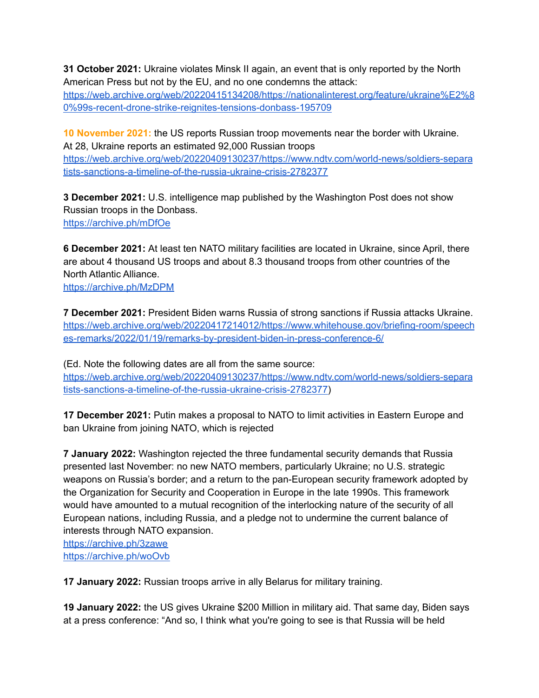**31 October 2021:** Ukraine violates Minsk II again, an event that is only reported by the North American Press but not by the EU, and no one condemns the attack:

[https://web.archive.org/web/20220415134208/https://nationalinterest.org/feature/ukraine%E2%8](https://web.archive.org/web/20220415134208/https://nationalinterest.org/feature/ukraine%E2%80%99s-recent-drone-strike-reignites-tensions-donbass-195709) [0%99s-recent-drone-strike-reignites-tensions-donbass-195709](https://web.archive.org/web/20220415134208/https://nationalinterest.org/feature/ukraine%E2%80%99s-recent-drone-strike-reignites-tensions-donbass-195709)

**10 November 2021:** the US reports Russian troop movements near the border with Ukraine. At 28, Ukraine reports an estimated 92,000 Russian troops

[https://web.archive.org/web/20220409130237/https://www.ndtv.com/world-news/soldiers-separa](https://web.archive.org/web/20220409130237/https://www.ndtv.com/world-news/soldiers-separatists-sanctions-a-timeline-of-the-russia-ukraine-crisis-2782377) [tists-sanctions-a-timeline-of-the-russia-ukraine-crisis-2782377](https://web.archive.org/web/20220409130237/https://www.ndtv.com/world-news/soldiers-separatists-sanctions-a-timeline-of-the-russia-ukraine-crisis-2782377)

**3 December 2021:** U.S. intelligence map published by the Washington Post does not show Russian troops in the Donbass. <https://archive.ph/mDfOe>

**6 December 2021:** At least ten NATO military facilities are located in Ukraine, since April, there are about 4 thousand US troops and about 8.3 thousand troops from other countries of the North Atlantic Alliance.

<https://archive.ph/MzDPM>

**7 December 2021:** President Biden warns Russia of strong sanctions if Russia attacks Ukraine. [https://web.archive.org/web/20220417214012/https://www.whitehouse.gov/briefing-room/speech](https://web.archive.org/web/20220417214012/https://www.whitehouse.gov/briefing-room/speeches-remarks/2022/01/19/remarks-by-president-biden-in-press-conference-6/) [es-remarks/2022/01/19/remarks-by-president-biden-in-press-conference-6/](https://web.archive.org/web/20220417214012/https://www.whitehouse.gov/briefing-room/speeches-remarks/2022/01/19/remarks-by-president-biden-in-press-conference-6/)

(Ed. Note the following dates are all from the same source: [https://web.archive.org/web/20220409130237/https://www.ndtv.com/world-news/soldiers-separa](https://web.archive.org/web/20220409130237/https://www.ndtv.com/world-news/soldiers-separatists-sanctions-a-timeline-of-the-russia-ukraine-crisis-2782377) [tists-sanctions-a-timeline-of-the-russia-ukraine-crisis-2782377\)](https://web.archive.org/web/20220409130237/https://www.ndtv.com/world-news/soldiers-separatists-sanctions-a-timeline-of-the-russia-ukraine-crisis-2782377)

**17 December 2021:** Putin makes a proposal to NATO to limit activities in Eastern Europe and ban Ukraine from joining NATO, which is rejected

**7 January 2022:** Washington rejected the three fundamental security demands that Russia presented last November: no new NATO members, particularly Ukraine; no U.S. strategic weapons on Russia's border; and a return to the pan-European security framework adopted by the Organization for Security and Cooperation in Europe in the late 1990s. This framework would have amounted to a mutual recognition of the interlocking nature of the security of all European nations, including Russia, and a pledge not to undermine the current balance of interests through NATO expansion.

<https://archive.ph/3zawe> <https://archive.ph/woOvb>

**17 January 2022:** Russian troops arrive in ally Belarus for military training.

**19 January 2022:** the US gives Ukraine \$200 Million in military aid. That same day, Biden says at a press conference: "And so, I think what you're going to see is that Russia will be held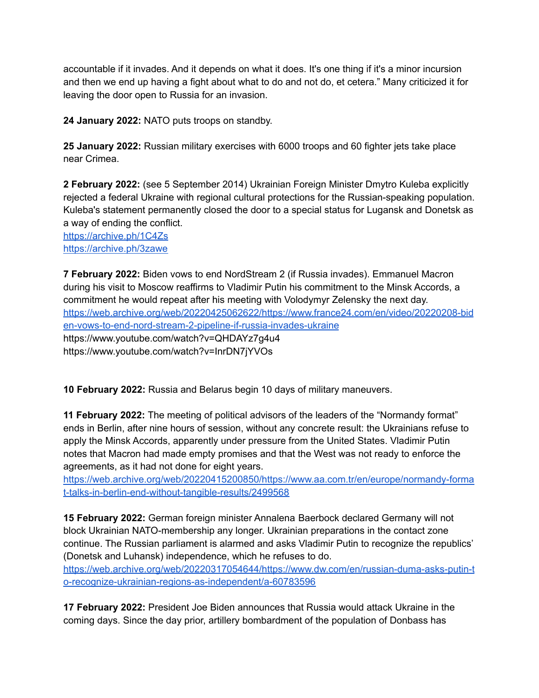accountable if it invades. And it depends on what it does. It's one thing if it's a minor incursion and then we end up having a fight about what to do and not do, et cetera." Many criticized it for leaving the door open to Russia for an invasion.

**24 January 2022:** NATO puts troops on standby.

**25 January 2022:** Russian military exercises with 6000 troops and 60 fighter jets take place near Crimea.

**2 February 2022:** (see 5 September 2014) Ukrainian Foreign Minister Dmytro Kuleba explicitly rejected a federal Ukraine with regional cultural protections for the Russian-speaking population. Kuleba's statement permanently closed the door to a special status for Lugansk and Donetsk as a way of ending the conflict.

<https://archive.ph/1C4Zs> <https://archive.ph/3zawe>

**7 February 2022:** Biden vows to end NordStream 2 (if Russia invades). Emmanuel Macron during his visit to Moscow reaffirms to Vladimir Putin his commitment to the Minsk Accords, a commitment he would repeat after his meeting with Volodymyr Zelensky the next day. [https://web.archive.org/web/20220425062622/https://www.france24.com/en/video/20220208-bid](https://web.archive.org/web/20220425062622/https://www.france24.com/en/video/20220208-biden-vows-to-end-nord-stream-2-pipeline-if-russia-invades-ukraine) [en-vows-to-end-nord-stream-2-pipeline-if-russia-invades-ukraine](https://web.archive.org/web/20220425062622/https://www.france24.com/en/video/20220208-biden-vows-to-end-nord-stream-2-pipeline-if-russia-invades-ukraine) https://www.youtube.com/watch?v=QHDAYz7g4u4 https://www.youtube.com/watch?v=InrDN7jYVOs

**10 February 2022:** Russia and Belarus begin 10 days of military maneuvers.

**11 February 2022:** The meeting of political advisors of the leaders of the "Normandy format" ends in Berlin, after nine hours of session, without any concrete result: the Ukrainians refuse to apply the Minsk Accords, apparently under pressure from the United States. Vladimir Putin notes that Macron had made empty promises and that the West was not ready to enforce the agreements, as it had not done for eight years.

[https://web.archive.org/web/20220415200850/https://www.aa.com.tr/en/europe/normandy-forma](https://web.archive.org/web/20220415200850/https://www.aa.com.tr/en/europe/normandy-format-talks-in-berlin-end-without-tangible-results/2499568) [t-talks-in-berlin-end-without-tangible-results/2499568](https://web.archive.org/web/20220415200850/https://www.aa.com.tr/en/europe/normandy-format-talks-in-berlin-end-without-tangible-results/2499568)

**15 February 2022:** German foreign minister Annalena Baerbock declared Germany will not block Ukrainian NATO-membership any longer. Ukrainian preparations in the contact zone continue. The Russian parliament is alarmed and asks Vladimir Putin to recognize the republics' (Donetsk and Luhansk) independence, which he refuses to do.

[https://web.archive.org/web/20220317054644/https://www.dw.com/en/russian-duma-asks-putin-t](https://web.archive.org/web/20220317054644/https://www.dw.com/en/russian-duma-asks-putin-to-recognize-ukrainian-regions-as-independent/a-60783596) [o-recognize-ukrainian-regions-as-independent/a-60783596](https://web.archive.org/web/20220317054644/https://www.dw.com/en/russian-duma-asks-putin-to-recognize-ukrainian-regions-as-independent/a-60783596)

**17 February 2022:** President Joe Biden announces that Russia would attack Ukraine in the coming days. Since the day prior, artillery bombardment of the population of Donbass has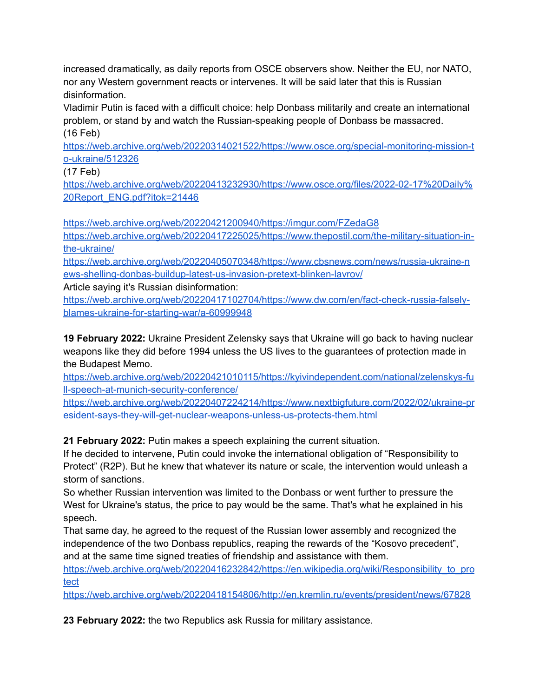increased dramatically, as daily reports from OSCE observers show. Neither the EU, nor NATO, nor any Western government reacts or intervenes. It will be said later that this is Russian disinformation.

Vladimir Putin is faced with a difficult choice: help Donbass militarily and create an international problem, or stand by and watch the Russian-speaking people of Donbass be massacred. (16 Feb)

[https://web.archive.org/web/20220314021522/https://www.osce.org/special-monitoring-mission-t](https://web.archive.org/web/20220314021522/https://www.osce.org/special-monitoring-mission-to-ukraine/512326) [o-ukraine/512326](https://web.archive.org/web/20220314021522/https://www.osce.org/special-monitoring-mission-to-ukraine/512326)

(17 Feb)

[https://web.archive.org/web/20220413232930/https://www.osce.org/files/2022-02-17%20Daily%](https://web.archive.org/web/20220413232930/https://www.osce.org/files/2022-02-17%20Daily%20Report_ENG.pdf?itok=21446) [20Report\\_ENG.pdf?itok=21446](https://web.archive.org/web/20220413232930/https://www.osce.org/files/2022-02-17%20Daily%20Report_ENG.pdf?itok=21446)

<https://web.archive.org/web/20220421200940/https://imgur.com/FZedaG8>

[https://web.archive.org/web/20220417225025/https://www.thepostil.com/the-military-situation-in](https://web.archive.org/web/20220417225025/https://www.thepostil.com/the-military-situation-in-the-ukraine/)[the-ukraine/](https://web.archive.org/web/20220417225025/https://www.thepostil.com/the-military-situation-in-the-ukraine/)

[https://web.archive.org/web/20220405070348/https://www.cbsnews.com/news/russia-ukraine-n](https://web.archive.org/web/20220405070348/https://www.cbsnews.com/news/russia-ukraine-news-shelling-donbas-buildup-latest-us-invasion-pretext-blinken-lavrov/) [ews-shelling-donbas-buildup-latest-us-invasion-pretext-blinken-lavrov/](https://web.archive.org/web/20220405070348/https://www.cbsnews.com/news/russia-ukraine-news-shelling-donbas-buildup-latest-us-invasion-pretext-blinken-lavrov/)

Article saying it's Russian disinformation:

[https://web.archive.org/web/20220417102704/https://www.dw.com/en/fact-check-russia-falsely](https://web.archive.org/web/20220417102704/https://www.dw.com/en/fact-check-russia-falsely-blames-ukraine-for-starting-war/a-60999948)[blames-ukraine-for-starting-war/a-60999948](https://web.archive.org/web/20220417102704/https://www.dw.com/en/fact-check-russia-falsely-blames-ukraine-for-starting-war/a-60999948)

**19 February 2022:** Ukraine President Zelensky says that Ukraine will go back to having nuclear weapons like they did before 1994 unless the US lives to the guarantees of protection made in the Budapest Memo.

[https://web.archive.org/web/20220421010115/https://kyivindependent.com/national/zelenskys-fu](https://web.archive.org/web/20220421010115/https://kyivindependent.com/national/zelenskys-full-speech-at-munich-security-conference/) [ll-speech-at-munich-security-conference/](https://web.archive.org/web/20220421010115/https://kyivindependent.com/national/zelenskys-full-speech-at-munich-security-conference/)

[https://web.archive.org/web/20220407224214/https://www.nextbigfuture.com/2022/02/ukraine-pr](https://web.archive.org/web/20220407224214/https://www.nextbigfuture.com/2022/02/ukraine-president-says-they-will-get-nuclear-weapons-unless-us-protects-them.html) [esident-says-they-will-get-nuclear-weapons-unless-us-protects-them.html](https://web.archive.org/web/20220407224214/https://www.nextbigfuture.com/2022/02/ukraine-president-says-they-will-get-nuclear-weapons-unless-us-protects-them.html)

**21 February 2022:** Putin makes a speech explaining the current situation.

If he decided to intervene, Putin could invoke the international obligation of "Responsibility to Protect" (R2P). But he knew that whatever its nature or scale, the intervention would unleash a storm of sanctions.

So whether Russian intervention was limited to the Donbass or went further to pressure the West for Ukraine's status, the price to pay would be the same. That's what he explained in his speech.

That same day, he agreed to the request of the Russian lower assembly and recognized the independence of the two Donbass republics, reaping the rewards of the "Kosovo precedent", and at the same time signed treaties of friendship and assistance with them.

[https://web.archive.org/web/20220416232842/https://en.wikipedia.org/wiki/Responsibility\\_to\\_pro](https://web.archive.org/web/20220416232842/https://en.wikipedia.org/wiki/Responsibility_to_protect) [tect](https://web.archive.org/web/20220416232842/https://en.wikipedia.org/wiki/Responsibility_to_protect)

<https://web.archive.org/web/20220418154806/http://en.kremlin.ru/events/president/news/67828>

**23 February 2022:** the two Republics ask Russia for military assistance.